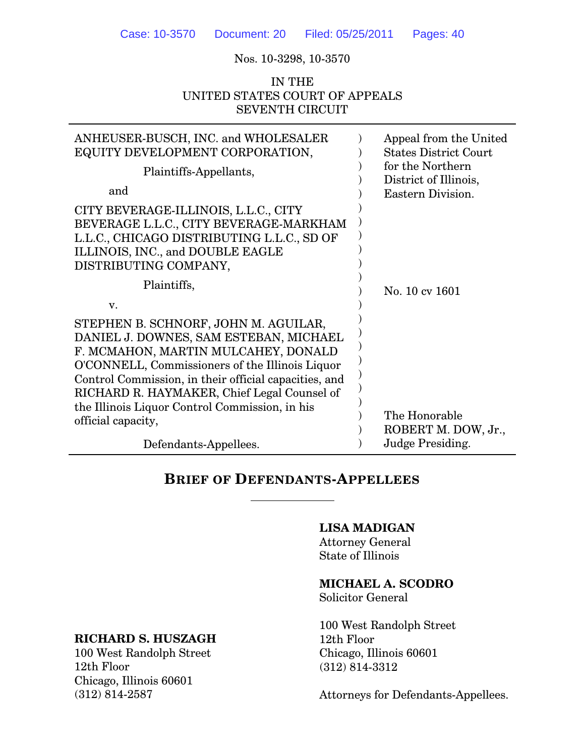Nos. 10-3298, 10-3570

# IN THE UNITED STATES COURT OF APPEALS SEVENTH CIRCUIT

| ANHEUSER-BUSCH, INC. and WHOLESALER<br>EQUITY DEVELOPMENT CORPORATION,                                                                                                                                                                                                                                                                                   |  | Appeal from the United<br><b>States District Court</b><br>for the Northern<br>District of Illinois, |  |  |  |
|----------------------------------------------------------------------------------------------------------------------------------------------------------------------------------------------------------------------------------------------------------------------------------------------------------------------------------------------------------|--|-----------------------------------------------------------------------------------------------------|--|--|--|
| Plaintiffs-Appellants,                                                                                                                                                                                                                                                                                                                                   |  |                                                                                                     |  |  |  |
| and                                                                                                                                                                                                                                                                                                                                                      |  | Eastern Division.                                                                                   |  |  |  |
| CITY BEVERAGE-ILLINOIS, L.L.C., CITY<br>BEVERAGE L.L.C., CITY BEVERAGE-MARKHAM<br>L.L.C., CHICAGO DISTRIBUTING L.L.C., SD OF<br>ILLINOIS, INC., and DOUBLE EAGLE<br>DISTRIBUTING COMPANY,                                                                                                                                                                |  |                                                                                                     |  |  |  |
| Plaintiffs,                                                                                                                                                                                                                                                                                                                                              |  | No. 10 cv 1601                                                                                      |  |  |  |
| V.                                                                                                                                                                                                                                                                                                                                                       |  |                                                                                                     |  |  |  |
| STEPHEN B. SCHNORF, JOHN M. AGUILAR,<br>DANIEL J. DOWNES, SAM ESTEBAN, MICHAEL<br>F. MCMAHON, MARTIN MULCAHEY, DONALD<br>O'CONNELL, Commissioners of the Illinois Liquor<br>Control Commission, in their official capacities, and<br>RICHARD R. HAYMAKER, Chief Legal Counsel of<br>the Illinois Liquor Control Commission, in his<br>official capacity, |  | The Honorable<br>ROBERT M. DOW, Jr.,                                                                |  |  |  |
| Defendants-Appellees.                                                                                                                                                                                                                                                                                                                                    |  | Judge Presiding.                                                                                    |  |  |  |

# **BRIEF OF DEFENDANTS-APPELLEES**

 $\overline{a}$ 

#### **LISA MADIGAN**

Attorney General State of Illinois

# **MICHAEL A. SCODRO**

Solicitor General

100 West Randolph Street 12th Floor Chicago, Illinois 60601 (312) 814-3312

Attorneys for Defendants-Appellees.

# **RICHARD S. HUSZAGH**

100 West Randolph Street 12th Floor Chicago, Illinois 60601 (312) 814-2587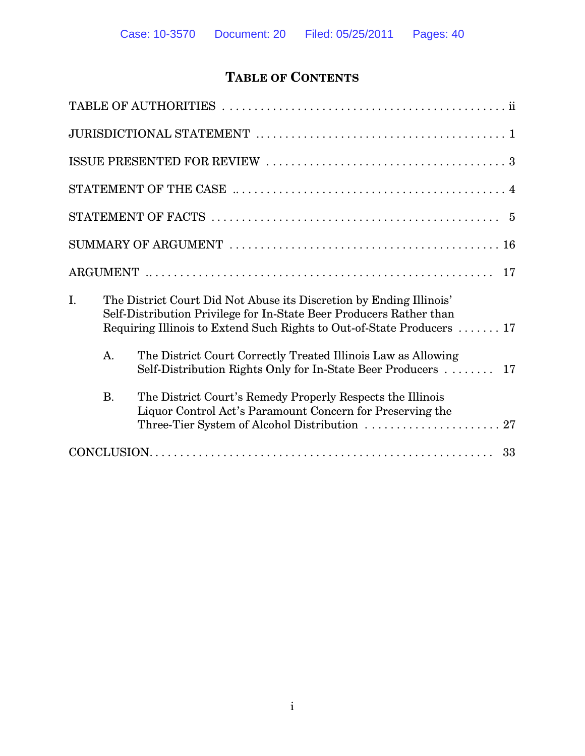# **TABLE OF CONTENTS**

|    |                                                                                                                                                                                                                      | 17                                                                                                                               |  |  |  |  |  |  |
|----|----------------------------------------------------------------------------------------------------------------------------------------------------------------------------------------------------------------------|----------------------------------------------------------------------------------------------------------------------------------|--|--|--|--|--|--|
| I. | The District Court Did Not Abuse its Discretion by Ending Illinois'<br>Self-Distribution Privilege for In-State Beer Producers Rather than<br>Requiring Illinois to Extend Such Rights to Out-of-State Producers  17 |                                                                                                                                  |  |  |  |  |  |  |
|    | A.                                                                                                                                                                                                                   | The District Court Correctly Treated Illinois Law as Allowing<br>Self-Distribution Rights Only for In-State Beer Producers<br>17 |  |  |  |  |  |  |
|    | <b>B.</b>                                                                                                                                                                                                            | The District Court's Remedy Properly Respects the Illinois<br>Liquor Control Act's Paramount Concern for Preserving the          |  |  |  |  |  |  |
|    |                                                                                                                                                                                                                      |                                                                                                                                  |  |  |  |  |  |  |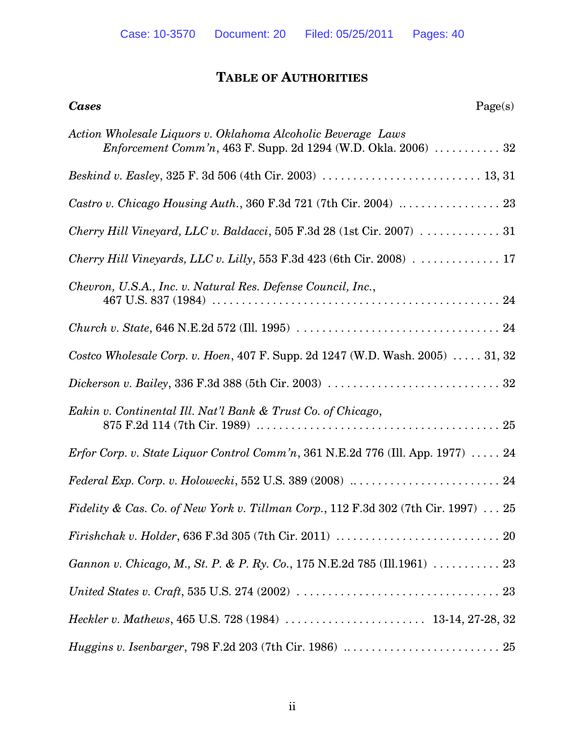# **TABLE OF AUTHORITIES**

| Page(s)<br><b>Cases</b>                                                                                                        |
|--------------------------------------------------------------------------------------------------------------------------------|
| Action Wholesale Liquors v. Oklahoma Alcoholic Beverage Laws<br>Enforcement Comm'n, 463 F. Supp. 2d 1294 (W.D. Okla. 2006)  32 |
|                                                                                                                                |
| Castro v. Chicago Housing Auth., 360 F.3d 721 (7th Cir. 2004) $\ldots \ldots \ldots \ldots$ 23                                 |
| Cherry Hill Vineyard, LLC v. Baldacci, 505 F.3d 28 (1st Cir. 2007) 31                                                          |
|                                                                                                                                |
| Chevron, U.S.A., Inc. v. Natural Res. Defense Council, Inc.,                                                                   |
|                                                                                                                                |
| Costco Wholesale Corp. v. Hoen, 407 F. Supp. 2d 1247 (W.D. Wash. 2005)  31, 32                                                 |
|                                                                                                                                |
| Eakin v. Continental Ill. Nat'l Bank & Trust Co. of Chicago,                                                                   |
| <i>Erfor Corp. v. State Liquor Control Comm'n,</i> 361 N.E.2d 776 (Ill. App. 1977) $\ldots$ . 24                               |
|                                                                                                                                |
| Fidelity & Cas. Co. of New York v. Tillman Corp., 112 F.3d 302 (7th Cir. 1997)  25                                             |
|                                                                                                                                |
|                                                                                                                                |
|                                                                                                                                |
|                                                                                                                                |
|                                                                                                                                |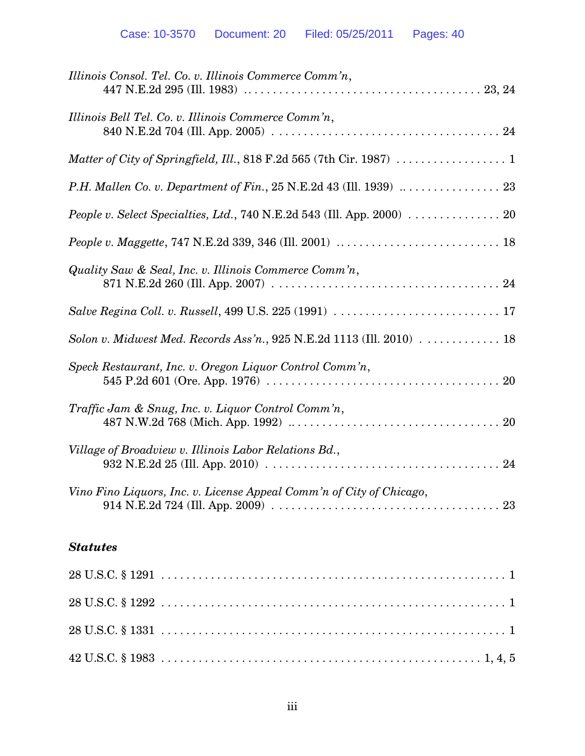| Illinois Consol. Tel. Co. v. Illinois Commerce Comm'n,                                               |
|------------------------------------------------------------------------------------------------------|
| Illinois Bell Tel. Co. v. Illinois Commerce Comm'n,                                                  |
|                                                                                                      |
|                                                                                                      |
| People v. Select Specialties, Ltd., 740 N.E.2d 543 (Ill. App. 2000) $\ldots \ldots \ldots \ldots$ 20 |
|                                                                                                      |
| Quality Saw & Seal, Inc. v. Illinois Commerce Comm'n,                                                |
|                                                                                                      |
| Solon v. Midwest Med. Records Ass'n., 925 N.E.2d 1113 (Ill. 2010) $\ldots \ldots \ldots \ldots$ 18   |
| Speck Restaurant, Inc. v. Oregon Liquor Control Comm'n,                                              |
| Traffic Jam & Snug, Inc. v. Liquor Control Comm'n,                                                   |
| Village of Broadview v. Illinois Labor Relations Bd.,                                                |
| Vino Fino Liquors, Inc. v. License Appeal Comm'n of City of Chicago,                                 |
| <b>Statutes</b>                                                                                      |
|                                                                                                      |
|                                                                                                      |
|                                                                                                      |

42 U.S.C. § 1983 . . . . . . . . . . . . . . . . . . . . . . . . . . . . . . . . . . . . . . . . . . . . . . . . . . . . 1, 4, 5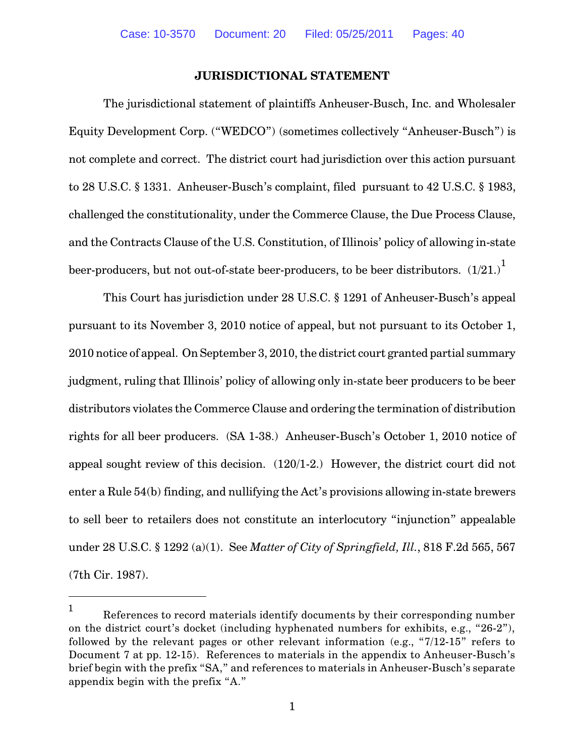#### **JURISDICTIONAL STATEMENT**

The jurisdictional statement of plaintiffs Anheuser-Busch, Inc. and Wholesaler Equity Development Corp. ("WEDCO") (sometimes collectively "Anheuser-Busch") is not complete and correct. The district court had jurisdiction over this action pursuant to 28 U.S.C. § 1331. Anheuser-Busch's complaint, filed pursuant to 42 U.S.C. § 1983, challenged the constitutionality, under the Commerce Clause, the Due Process Clause, and the Contracts Clause of the U.S. Constitution, of Illinois' policy of allowing in-state beer-producers, but not out-of-state beer-producers, to be beer distributors.  $\left( 1/21. \right)^{1}$ 

This Court has jurisdiction under 28 U.S.C. § 1291 of Anheuser-Busch's appeal pursuant to its November 3, 2010 notice of appeal, but not pursuant to its October 1, 2010 notice of appeal. On September 3, 2010, the district court granted partial summary judgment, ruling that Illinois' policy of allowing only in-state beer producers to be beer distributors violates the Commerce Clause and ordering the termination of distribution rights for all beer producers. (SA 1-38.) Anheuser-Busch's October 1, 2010 notice of appeal sought review of this decision. (120/1-2.) However, the district court did not enter a Rule 54(b) finding, and nullifying the Act's provisions allowing in-state brewers to sell beer to retailers does not constitute an interlocutory "injunction" appealable under 28 U.S.C. § 1292 (a)(1). See *Matter of City of Springfield, Ill.*, 818 F.2d 565, 567 (7th Cir. 1987).

References to record materials identify documents by their corresponding number 1 on the district court's docket (including hyphenated numbers for exhibits, e.g., "26-2"), followed by the relevant pages or other relevant information (e.g., "7/12-15" refers to Document 7 at pp. 12-15). References to materials in the appendix to Anheuser-Busch's brief begin with the prefix "SA," and references to materials in Anheuser-Busch's separate appendix begin with the prefix "A."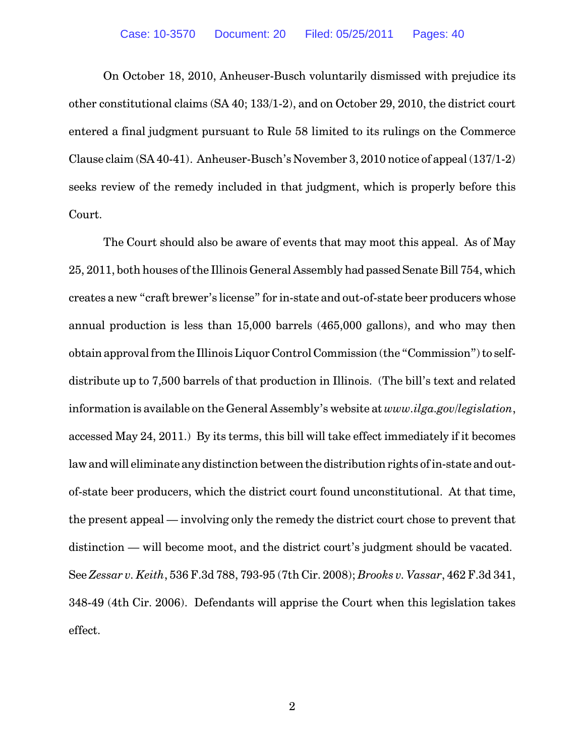On October 18, 2010, Anheuser-Busch voluntarily dismissed with prejudice its other constitutional claims (SA 40; 133/1-2), and on October 29, 2010, the district court entered a final judgment pursuant to Rule 58 limited to its rulings on the Commerce Clause claim (SA 40-41). Anheuser-Busch's November 3, 2010 notice of appeal (137/1-2) seeks review of the remedy included in that judgment, which is properly before this Court.

The Court should also be aware of events that may moot this appeal. As of May 25, 2011, both houses of the Illinois General Assembly had passed Senate Bill 754, which creates a new "craft brewer's license" for in-state and out-of-state beer producers whose annual production is less than 15,000 barrels (465,000 gallons), and who may then obtain approval from the Illinois Liquor Control Commission (the "Commission") to selfdistribute up to 7,500 barrels of that production in Illinois. (The bill's text and related information is available on the General Assembly's website at *www.ilga.gov/legislation*, accessed May 24, 2011.) By its terms, this bill will take effect immediately if it becomes law and will eliminate any distinction between the distribution rights of in-state and outof-state beer producers, which the district court found unconstitutional. At that time, the present appeal — involving only the remedy the district court chose to prevent that distinction — will become moot, and the district court's judgment should be vacated. See *Zessar v. Keith*, 536 F.3d 788, 793-95 (7th Cir. 2008); *Brooks v. Vassar*, 462 F.3d 341, 348-49 (4th Cir. 2006). Defendants will apprise the Court when this legislation takes effect.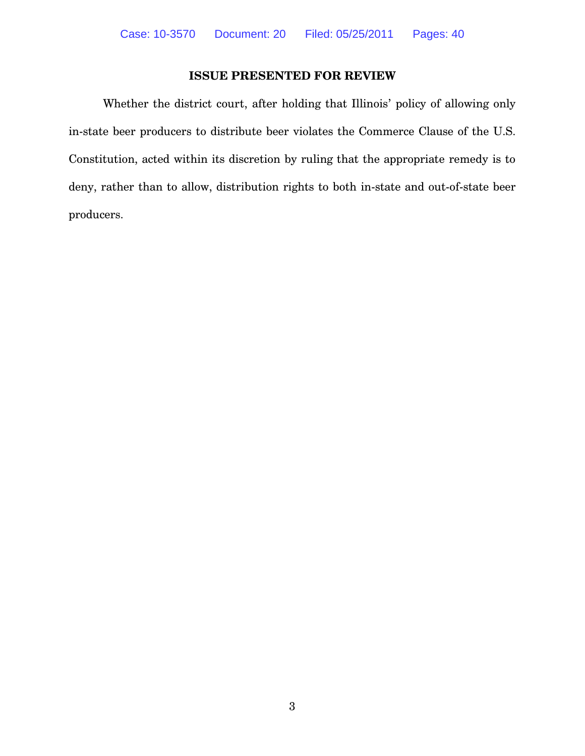# **ISSUE PRESENTED FOR REVIEW**

Whether the district court, after holding that Illinois' policy of allowing only in-state beer producers to distribute beer violates the Commerce Clause of the U.S. Constitution, acted within its discretion by ruling that the appropriate remedy is to deny, rather than to allow, distribution rights to both in-state and out-of-state beer producers.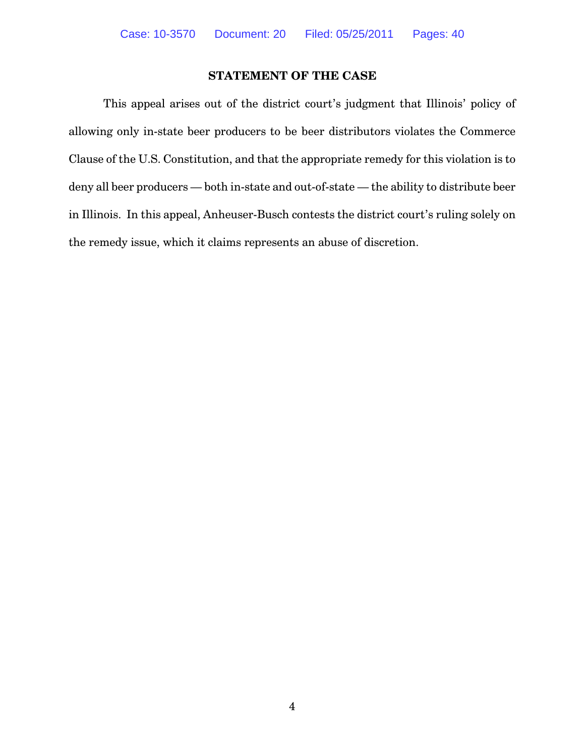# **STATEMENT OF THE CASE**

This appeal arises out of the district court's judgment that Illinois' policy of allowing only in-state beer producers to be beer distributors violates the Commerce Clause of the U.S. Constitution, and that the appropriate remedy for this violation is to deny all beer producers — both in-state and out-of-state — the ability to distribute beer in Illinois. In this appeal, Anheuser-Busch contests the district court's ruling solely on the remedy issue, which it claims represents an abuse of discretion.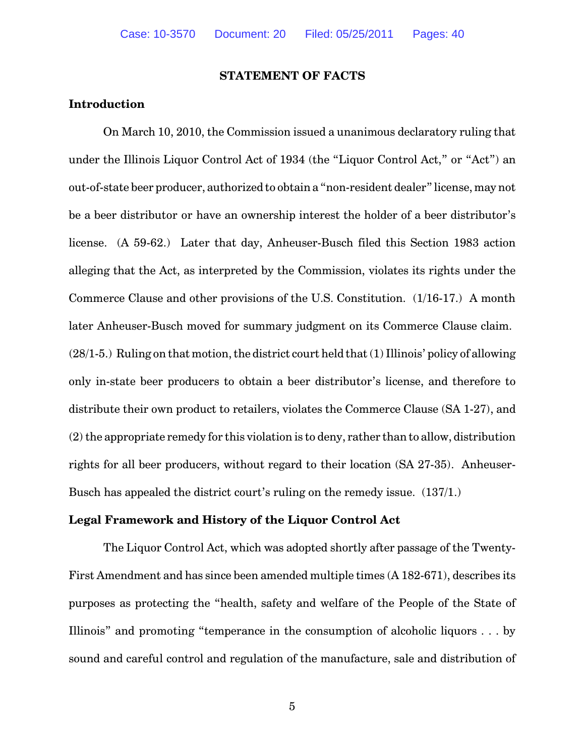#### **STATEMENT OF FACTS**

### **Introduction**

On March 10, 2010, the Commission issued a unanimous declaratory ruling that under the Illinois Liquor Control Act of 1934 (the "Liquor Control Act," or "Act") an out-of-state beer producer, authorized to obtain a "non-resident dealer" license, may not be a beer distributor or have an ownership interest the holder of a beer distributor's license. (A 59-62.) Later that day, Anheuser-Busch filed this Section 1983 action alleging that the Act, as interpreted by the Commission, violates its rights under the Commerce Clause and other provisions of the U.S. Constitution. (1/16-17.) A month later Anheuser-Busch moved for summary judgment on its Commerce Clause claim.  $(28/1-5)$ . Ruling on that motion, the district court held that  $(1)$  Illinois' policy of allowing only in-state beer producers to obtain a beer distributor's license, and therefore to distribute their own product to retailers, violates the Commerce Clause (SA 1-27), and  $(2)$  the appropriate remedy for this violation is to deny, rather than to allow, distribution rights for all beer producers, without regard to their location (SA 27-35). Anheuser-Busch has appealed the district court's ruling on the remedy issue. (137/1.)

#### **Legal Framework and History of the Liquor Control Act**

The Liquor Control Act, which was adopted shortly after passage of the Twenty-First Amendment and has since been amended multiple times (A 182-671), describes its purposes as protecting the "health, safety and welfare of the People of the State of Illinois" and promoting "temperance in the consumption of alcoholic liquors . . . by sound and careful control and regulation of the manufacture, sale and distribution of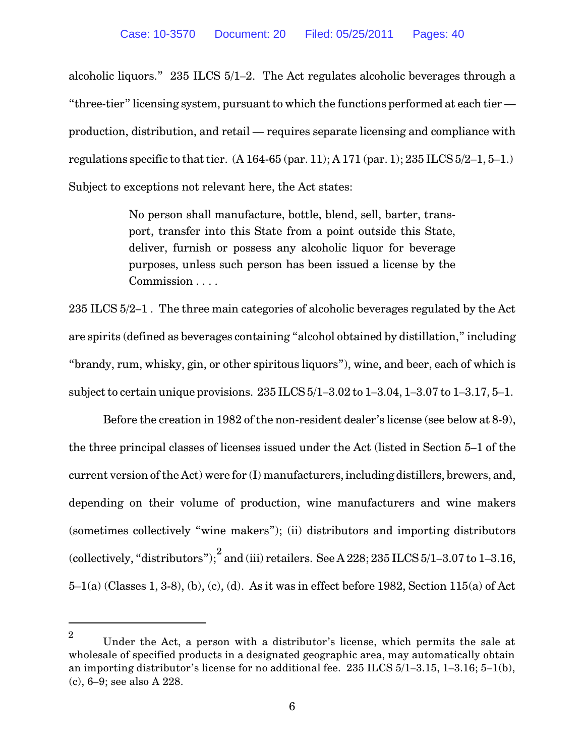alcoholic liquors." 235 ILCS 5/1–2. The Act regulates alcoholic beverages through a "three-tier" licensing system, pursuant to which the functions performed at each tier production, distribution, and retail — requires separate licensing and compliance with regulations specific to that tier. (A 164-65 (par. 11); A 171 (par. 1); 235 ILCS 5/2–1, 5–1.) Subject to exceptions not relevant here, the Act states:

> No person shall manufacture, bottle, blend, sell, barter, transport, transfer into this State from a point outside this State, deliver, furnish or possess any alcoholic liquor for beverage purposes, unless such person has been issued a license by the Commission . . . .

235 ILCS 5/2–1 . The three main categories of alcoholic beverages regulated by the Act are spirits (defined as beverages containing "alcohol obtained by distillation," including "brandy, rum, whisky, gin, or other spiritous liquors"), wine, and beer, each of which is subject to certain unique provisions. 235 ILCS 5/1–3.02 to 1–3.04, 1–3.07 to 1–3.17, 5–1.

Before the creation in 1982 of the non-resident dealer's license (see below at 8-9), the three principal classes of licenses issued under the Act (listed in Section 5–1 of the current version of the Act) were for (I) manufacturers, including distillers, brewers, and, depending on their volume of production, wine manufacturers and wine makers (sometimes collectively "wine makers"); (ii) distributors and importing distributors (collectively, "distributors");  $^{2}$  and (iii) retailers. See A 228; 235 ILCS 5/1-3.07 to 1-3.16, 5–1(a) (Classes 1, 3-8), (b), (c), (d). As it was in effect before 1982, Section 115(a) of Act

Under the Act, a person with a distributor's license, which permits the sale at 2 wholesale of specified products in a designated geographic area, may automatically obtain an importing distributor's license for no additional fee. 235 ILCS 5/1–3.15, 1–3.16; 5–1(b), (c), 6–9; see also A 228.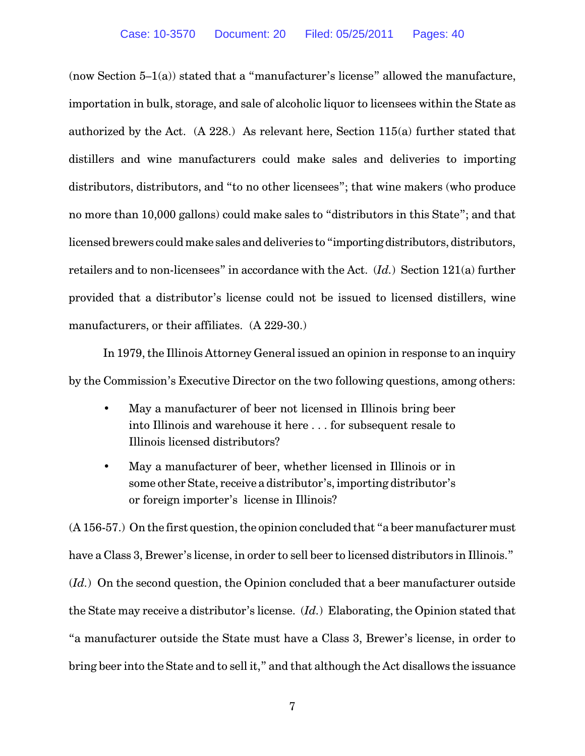(now Section  $5-1(a)$ ) stated that a "manufacturer's license" allowed the manufacture, importation in bulk, storage, and sale of alcoholic liquor to licensees within the State as authorized by the Act. (A 228.) As relevant here, Section 115(a) further stated that distillers and wine manufacturers could make sales and deliveries to importing distributors, distributors, and "to no other licensees"; that wine makers (who produce no more than 10,000 gallons) could make sales to "distributors in this State"; and that licensed brewers could make sales and deliveries to "importing distributors, distributors, retailers and to non-licensees" in accordance with the Act. (*Id.*) Section 121(a) further provided that a distributor's license could not be issued to licensed distillers, wine manufacturers, or their affiliates. (A 229-30.)

In 1979, the Illinois Attorney General issued an opinion in response to an inquiry by the Commission's Executive Director on the two following questions, among others:

- May a manufacturer of beer not licensed in Illinois bring beer into Illinois and warehouse it here . . . for subsequent resale to Illinois licensed distributors?
- May a manufacturer of beer, whether licensed in Illinois or in some other State, receive a distributor's, importing distributor's or foreign importer's license in Illinois?

(A 156-57.) On the first question, the opinion concluded that "a beer manufacturer must have a Class 3, Brewer's license, in order to sell beer to licensed distributors in Illinois." (*Id.*) On the second question, the Opinion concluded that a beer manufacturer outside the State may receive a distributor's license. (*Id.*) Elaborating, the Opinion stated that "a manufacturer outside the State must have a Class 3, Brewer's license, in order to bring beer into the State and to sell it," and that although the Act disallows the issuance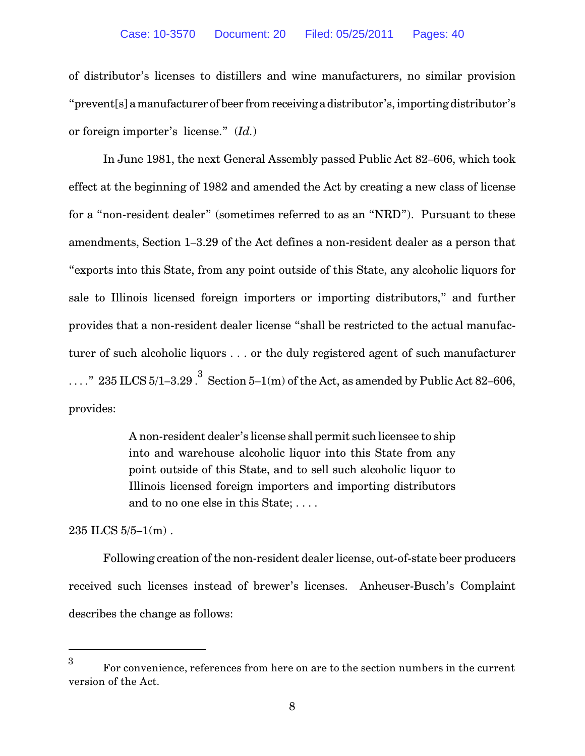of distributor's licenses to distillers and wine manufacturers, no similar provision "prevent[s] amanufacturer of beer fromreceiving a distributor's, importing distributor's or foreign importer's license." (*Id.*)

In June 1981, the next General Assembly passed Public Act 82–606, which took effect at the beginning of 1982 and amended the Act by creating a new class of license for a "non-resident dealer" (sometimes referred to as an "NRD"). Pursuant to these amendments, Section 1–3.29 of the Act defines a non-resident dealer as a person that "exports into this State, from any point outside of this State, any alcoholic liquors for sale to Illinois licensed foreign importers or importing distributors," and further provides that a non-resident dealer license "shall be restricted to the actual manufacturer of such alcoholic liquors . . . or the duly registered agent of such manufacturer ...." 235 ILCS  $5/1-3.29$ . Section  $5-1(m)$  of the Act, as amended by Public Act 82–606, provides:

> A non-resident dealer's license shall permit such licensee to ship into and warehouse alcoholic liquor into this State from any point outside of this State, and to sell such alcoholic liquor to Illinois licensed foreign importers and importing distributors and to no one else in this State; . . . .

235 ILCS 5/5–1(m) .

Following creation of the non-resident dealer license, out-of-state beer producers received such licenses instead of brewer's licenses. Anheuser-Busch's Complaint describes the change as follows:

For convenience, references from here on are to the section numbers in the current 3 version of the Act.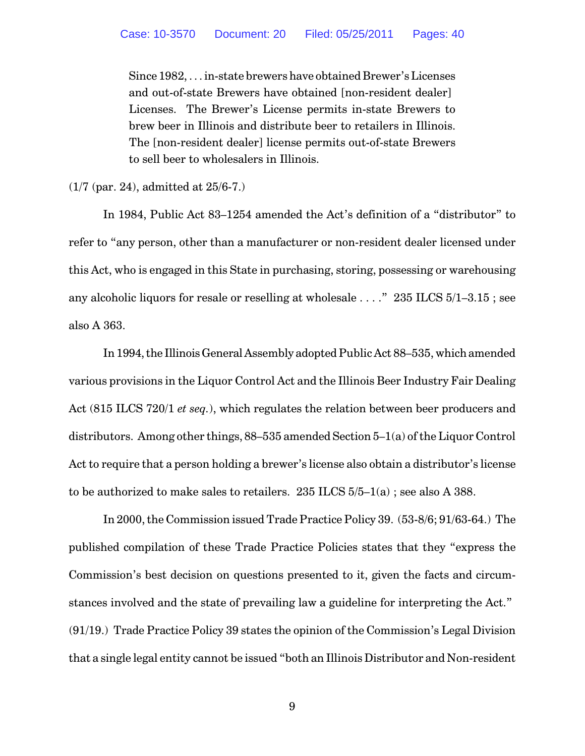Since 1982, . . . in-state brewers have obtained Brewer's Licenses and out-of-state Brewers have obtained [non-resident dealer] Licenses. The Brewer's License permits in-state Brewers to brew beer in Illinois and distribute beer to retailers in Illinois. The [non-resident dealer] license permits out-of-state Brewers to sell beer to wholesalers in Illinois.

(1/7 (par. 24), admitted at 25/6-7.)

In 1984, Public Act 83–1254 amended the Act's definition of a "distributor" to refer to "any person, other than a manufacturer or non-resident dealer licensed under this Act, who is engaged in this State in purchasing, storing, possessing or warehousing any alcoholic liquors for resale or reselling at wholesale . . . ." 235 ILCS 5/1–3.15 ; see also A 363.

In 1994, the Illinois General Assembly adopted Public Act 88–535, which amended various provisions in the Liquor Control Act and the Illinois Beer Industry Fair Dealing Act (815 ILCS 720/1 *et seq.*), which regulates the relation between beer producers and distributors. Among other things, 88–535 amended Section 5–1(a) of the Liquor Control Act to require that a person holding a brewer's license also obtain a distributor's license to be authorized to make sales to retailers. 235 ILCS 5/5–1(a) ; see also A 388.

In 2000, the Commission issued Trade Practice Policy 39. (53-8/6; 91/63-64.) The published compilation of these Trade Practice Policies states that they "express the Commission's best decision on questions presented to it, given the facts and circumstances involved and the state of prevailing law a guideline for interpreting the Act." (91/19.) Trade Practice Policy 39 states the opinion of the Commission's Legal Division that a single legal entity cannot be issued "both an Illinois Distributor and Non-resident

9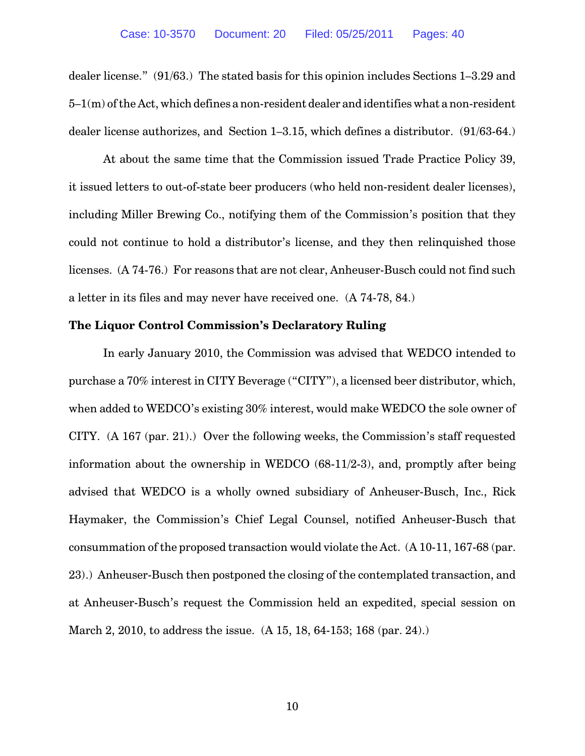dealer license." (91/63.) The stated basis for this opinion includes Sections 1–3.29 and 5–1(m) of the Act, which defines a non-resident dealer and identifies what a non-resident dealer license authorizes, and Section 1–3.15, which defines a distributor. (91/63-64.)

At about the same time that the Commission issued Trade Practice Policy 39, it issued letters to out-of-state beer producers (who held non-resident dealer licenses), including Miller Brewing Co., notifying them of the Commission's position that they could not continue to hold a distributor's license, and they then relinquished those licenses. (A 74-76.) For reasons that are not clear, Anheuser-Busch could not find such a letter in its files and may never have received one. (A 74-78, 84.)

#### **The Liquor Control Commission's Declaratory Ruling**

In early January 2010, the Commission was advised that WEDCO intended to purchase a 70% interest in CITY Beverage ("CITY"), a licensed beer distributor, which, when added to WEDCO's existing 30% interest, would make WEDCO the sole owner of CITY. (A 167 (par. 21).) Over the following weeks, the Commission's staff requested information about the ownership in WEDCO (68-11/2-3), and, promptly after being advised that WEDCO is a wholly owned subsidiary of Anheuser-Busch, Inc., Rick Haymaker, the Commission's Chief Legal Counsel, notified Anheuser-Busch that consummation of the proposed transaction would violate the Act. (A 10-11, 167-68 (par. 23).) Anheuser-Busch then postponed the closing of the contemplated transaction, and at Anheuser-Busch's request the Commission held an expedited, special session on March 2, 2010, to address the issue. (A 15, 18, 64-153; 168 (par. 24).)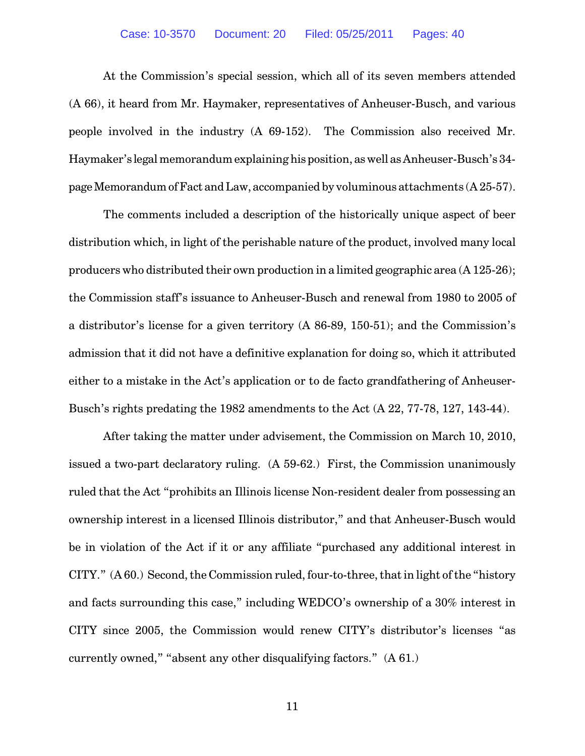At the Commission's special session, which all of its seven members attended (A 66), it heard from Mr. Haymaker, representatives of Anheuser-Busch, and various people involved in the industry (A 69-152). The Commission also received Mr. Haymaker's legal memorandum explaining his position, as well as Anheuser-Busch's 34 page Memorandum ofFact and Law, accompanied by voluminous attachments (A 25-57).

The comments included a description of the historically unique aspect of beer distribution which, in light of the perishable nature of the product, involved many local producers who distributed their own production in a limited geographic area (A 125-26); the Commission staff's issuance to Anheuser-Busch and renewal from 1980 to 2005 of a distributor's license for a given territory (A 86-89, 150-51); and the Commission's admission that it did not have a definitive explanation for doing so, which it attributed either to a mistake in the Act's application or to de facto grandfathering of Anheuser-Busch's rights predating the 1982 amendments to the Act (A 22, 77-78, 127, 143-44).

After taking the matter under advisement, the Commission on March 10, 2010, issued a two-part declaratory ruling. (A 59-62.) First, the Commission unanimously ruled that the Act "prohibits an Illinois license Non-resident dealer from possessing an ownership interest in a licensed Illinois distributor," and that Anheuser-Busch would be in violation of the Act if it or any affiliate "purchased any additional interest in CITY." (A 60.) Second, the Commission ruled, four-to-three, that in light of the "history and facts surrounding this case," including WEDCO's ownership of a 30% interest in CITY since 2005, the Commission would renew CITY's distributor's licenses "as currently owned," "absent any other disqualifying factors." (A 61.)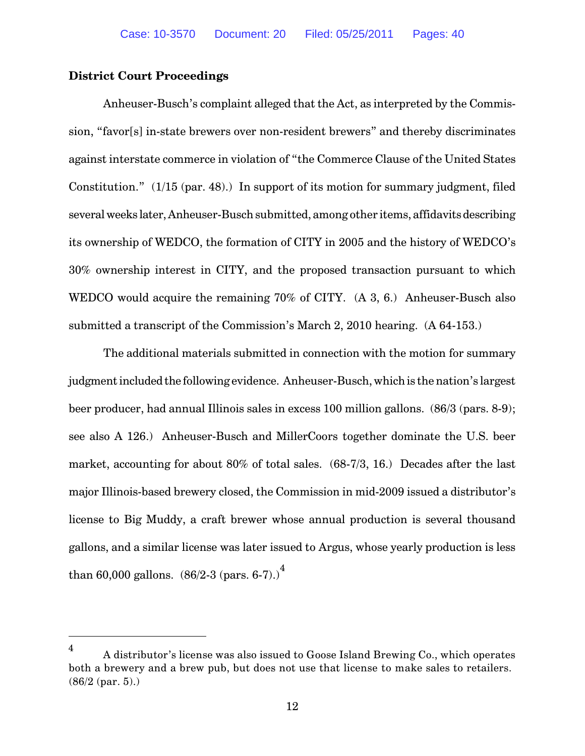#### **District Court Proceedings**

Anheuser-Busch's complaint alleged that the Act, as interpreted by the Commission, "favor[s] in-state brewers over non-resident brewers" and thereby discriminates against interstate commerce in violation of "the Commerce Clause of the United States Constitution." (1/15 (par. 48).) In support of its motion for summary judgment, filed several weeks later, Anheuser-Busch submitted, among other items, affidavits describing its ownership of WEDCO, the formation of CITY in 2005 and the history of WEDCO's 30% ownership interest in CITY, and the proposed transaction pursuant to which WEDCO would acquire the remaining 70% of CITY. (A 3, 6.) Anheuser-Busch also submitted a transcript of the Commission's March 2, 2010 hearing. (A 64-153.)

The additional materials submitted in connection with the motion for summary judgmentincluded the following evidence. Anheuser-Busch, whichis the nation's largest beer producer, had annual Illinois sales in excess 100 million gallons. (86/3 (pars. 8-9); see also A 126.) Anheuser-Busch and MillerCoors together dominate the U.S. beer market, accounting for about 80% of total sales. (68-7/3, 16.) Decades after the last major Illinois-based brewery closed, the Commission in mid-2009 issued a distributor's license to Big Muddy, a craft brewer whose annual production is several thousand gallons, and a similar license was later issued to Argus, whose yearly production is less than 60,000 gallons.  $(86/2-3$  (pars. 6-7).)<sup>4</sup>

A distributor's license was also issued to Goose Island Brewing Co., which operates 4 both a brewery and a brew pub, but does not use that license to make sales to retailers. (86/2 (par. 5).)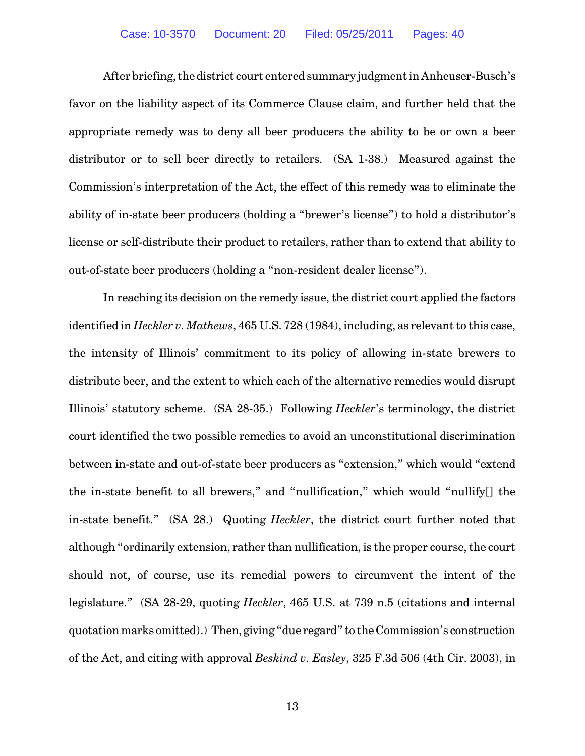After briefing, the district court entered summary judgment in Anheuser-Busch's favor on the liability aspect of its Commerce Clause claim, and further held that the appropriate remedy was to deny all beer producers the ability to be or own a beer distributor or to sell beer directly to retailers. (SA 1-38.) Measured against the Commission's interpretation of the Act, the effect of this remedy was to eliminate the ability of in-state beer producers (holding a "brewer's license") to hold a distributor's license or self-distribute their product to retailers, rather than to extend that ability to out-of-state beer producers (holding a "non-resident dealer license").

In reaching its decision on the remedy issue, the district court applied the factors identified in *Heckler v. Mathews*, 465 U.S. 728 (1984), including, as relevant to this case, the intensity of Illinois' commitment to its policy of allowing in-state brewers to distribute beer, and the extent to which each of the alternative remedies would disrupt Illinois' statutory scheme. (SA 28-35.) Following *Heckler*'s terminology, the district court identified the two possible remedies to avoid an unconstitutional discrimination between in-state and out-of-state beer producers as "extension," which would "extend the in-state benefit to all brewers," and "nullification," which would "nullify[] the in-state benefit." (SA 28.) Quoting *Heckler*, the district court further noted that although "ordinarily extension, rather than nullification, is the proper course, the court should not, of course, use its remedial powers to circumvent the intent of the legislature." (SA 28-29, quoting *Heckler*, 465 U.S. at 739 n.5 (citations and internal quotation marks omitted).) Then, giving "due regard" to the Commission's construction of the Act, and citing with approval *Beskind v. Easley*, 325 F.3d 506 (4th Cir. 2003), in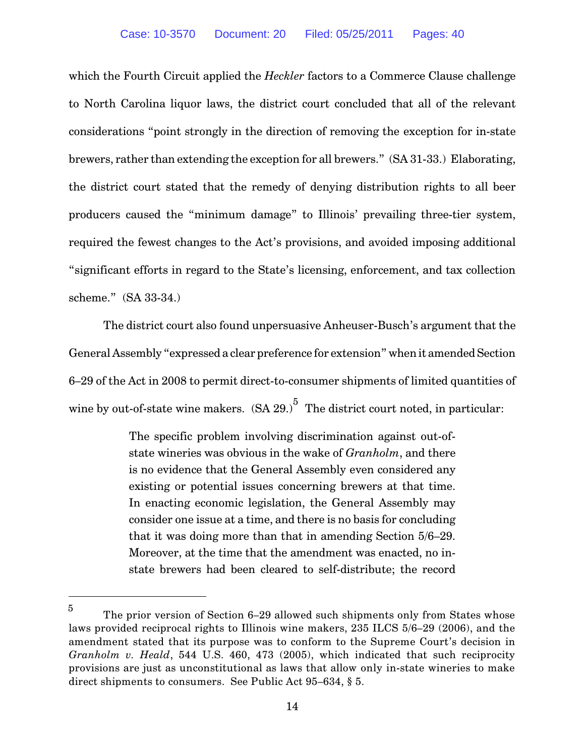which the Fourth Circuit applied the *Heckler* factors to a Commerce Clause challenge to North Carolina liquor laws, the district court concluded that all of the relevant considerations "point strongly in the direction of removing the exception for in-state brewers, rather than extending the exception for all brewers." (SA 31-33.) Elaborating, the district court stated that the remedy of denying distribution rights to all beer producers caused the "minimum damage" to Illinois' prevailing three-tier system, required the fewest changes to the Act's provisions, and avoided imposing additional "significant efforts in regard to the State's licensing, enforcement, and tax collection scheme." (SA 33-34.)

The district court also found unpersuasive Anheuser-Busch's argument that the General Assembly "expressed a clear preference for extension" when it amended Section 6–29 of the Act in 2008 to permit direct-to-consumer shipments of limited quantities of wine by out-of-state wine makers.  $(SA 29.)^5$  The district court noted, in particular:

> The specific problem involving discrimination against out-ofstate wineries was obvious in the wake of *Granholm*, and there is no evidence that the General Assembly even considered any existing or potential issues concerning brewers at that time. In enacting economic legislation, the General Assembly may consider one issue at a time, and there is no basis for concluding that it was doing more than that in amending Section 5/6–29. Moreover, at the time that the amendment was enacted, no instate brewers had been cleared to self-distribute; the record

The prior version of Section 6–29 allowed such shipments only from States whose 5 laws provided reciprocal rights to Illinois wine makers, 235 ILCS 5/6–29 (2006), and the amendment stated that its purpose was to conform to the Supreme Court's decision in *Granholm v. Heald*, 544 U.S. 460, 473 (2005), which indicated that such reciprocity provisions are just as unconstitutional as laws that allow only in-state wineries to make direct shipments to consumers. See Public Act 95–634, § 5.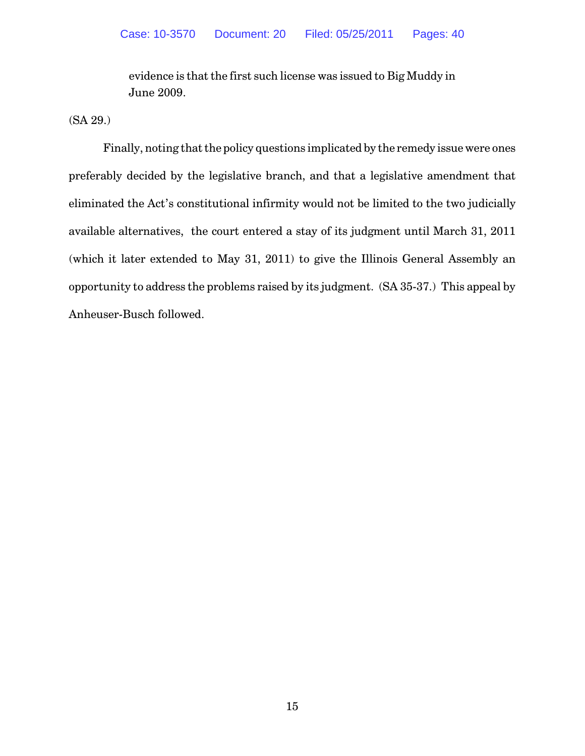evidence is that the first such license was issued to Big Muddy in June 2009.

(SA 29.)

Finally, noting that the policy questions implicated by the remedy issue were ones preferably decided by the legislative branch, and that a legislative amendment that eliminated the Act's constitutional infirmity would not be limited to the two judicially available alternatives, the court entered a stay of its judgment until March 31, 2011 (which it later extended to May 31, 2011) to give the Illinois General Assembly an opportunity to address the problems raised by its judgment. (SA 35-37.) This appeal by Anheuser-Busch followed.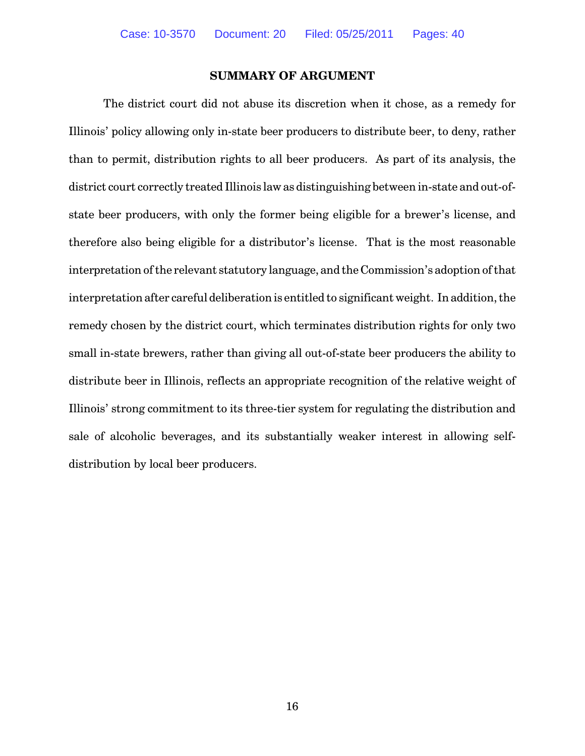#### **SUMMARY OF ARGUMENT**

The district court did not abuse its discretion when it chose, as a remedy for Illinois' policy allowing only in-state beer producers to distribute beer, to deny, rather than to permit, distribution rights to all beer producers. As part of its analysis, the district court correctly treated Illinois law as distinguishing between in-state and out-ofstate beer producers, with only the former being eligible for a brewer's license, and therefore also being eligible for a distributor's license. That is the most reasonable interpretation of the relevant statutory language, and the Commission's adoption of that interpretation after careful deliberation is entitled to significant weight. In addition, the remedy chosen by the district court, which terminates distribution rights for only two small in-state brewers, rather than giving all out-of-state beer producers the ability to distribute beer in Illinois, reflects an appropriate recognition of the relative weight of Illinois' strong commitment to its three-tier system for regulating the distribution and sale of alcoholic beverages, and its substantially weaker interest in allowing selfdistribution by local beer producers.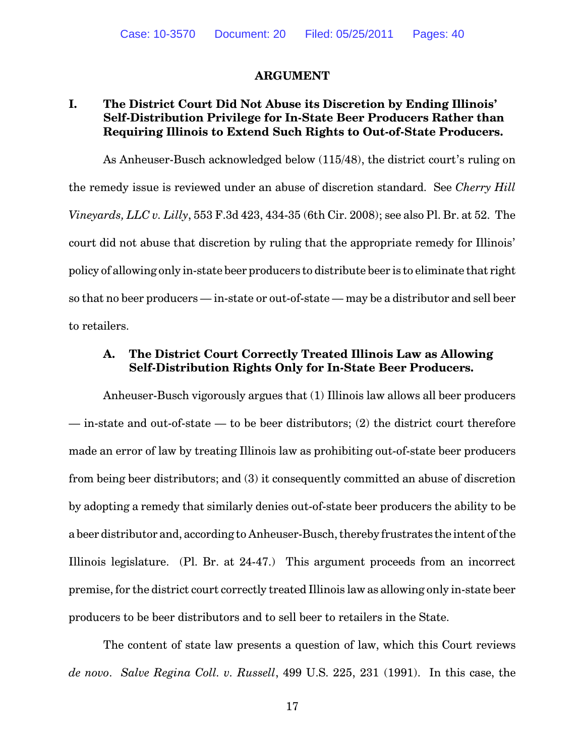#### **ARGUMENT**

## **I. The District Court Did Not Abuse its Discretion by Ending Illinois' Self-Distribution Privilege for In-State Beer Producers Rather than Requiring Illinois to Extend Such Rights to Out-of-State Producers.**

As Anheuser-Busch acknowledged below (115/48), the district court's ruling on the remedy issue is reviewed under an abuse of discretion standard. See *Cherry Hill Vineyards, LLC v. Lilly*, 553 F.3d 423, 434-35 (6th Cir. 2008); see also Pl. Br. at 52. The court did not abuse that discretion by ruling that the appropriate remedy for Illinois' policy of allowing only in-state beer producers to distribute beer is to eliminate that right so that no beer producers — in-state or out-of-state — may be a distributor and sell beer to retailers.

### **A. The District Court Correctly Treated Illinois Law as Allowing Self-Distribution Rights Only for In-State Beer Producers.**

Anheuser-Busch vigorously argues that (1) Illinois law allows all beer producers — in-state and out-of-state — to be beer distributors; (2) the district court therefore made an error of law by treating Illinois law as prohibiting out-of-state beer producers from being beer distributors; and (3) it consequently committed an abuse of discretion by adopting a remedy that similarly denies out-of-state beer producers the ability to be a beer distributor and, according to Anheuser-Busch, thereby frustrates the intent of the Illinois legislature. (Pl. Br. at 24-47.) This argument proceeds from an incorrect premise, for the district court correctly treated Illinois law as allowing only in-state beer producers to be beer distributors and to sell beer to retailers in the State.

The content of state law presents a question of law, which this Court reviews *de novo*. *Salve Regina Coll. v. Russell*, 499 U.S. 225, 231 (1991). In this case, the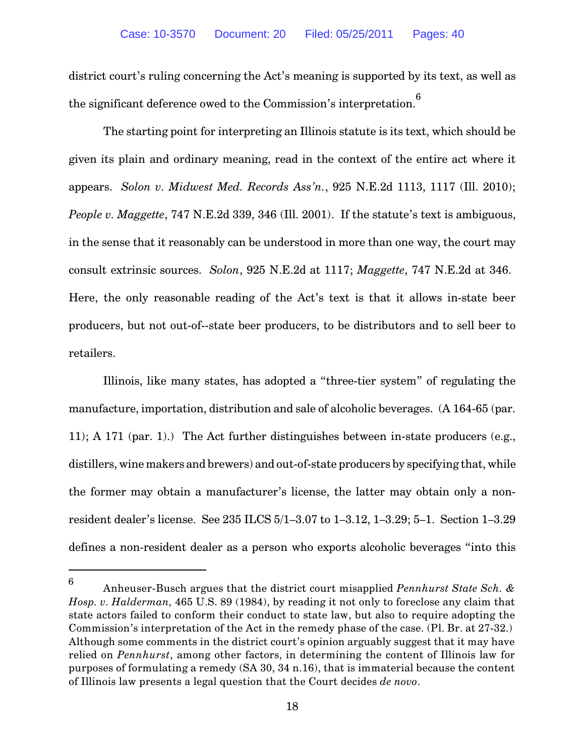district court's ruling concerning the Act's meaning is supported by its text, as well as the significant deference owed to the Commission's interpretation.<sup>6</sup>

The starting point for interpreting an Illinois statute is its text, which should be given its plain and ordinary meaning, read in the context of the entire act where it appears. *Solon v. Midwest Med. Records Ass'n.*, 925 N.E.2d 1113, 1117 (Ill. 2010); *People v. Maggette*, 747 N.E.2d 339, 346 (Ill. 2001). If the statute's text is ambiguous, in the sense that it reasonably can be understood in more than one way, the court may consult extrinsic sources. *Solon*, 925 N.E.2d at 1117; *Maggette*, 747 N.E.2d at 346. Here, the only reasonable reading of the Act's text is that it allows in-state beer producers, but not out-of--state beer producers, to be distributors and to sell beer to retailers.

Illinois, like many states, has adopted a "three-tier system" of regulating the manufacture, importation, distribution and sale of alcoholic beverages. (A 164-65 (par. 11); A 171 (par. 1).) The Act further distinguishes between in-state producers (e.g., distillers, wine makers and brewers) and out-of-state producers by specifying that, while the former may obtain a manufacturer's license, the latter may obtain only a nonresident dealer's license. See 235 ILCS 5/1–3.07 to 1–3.12, 1–3.29; 5–1. Section 1–3.29 defines a non-resident dealer as a person who exports alcoholic beverages "into this

Anheuser-Busch argues that the district court misapplied *Pennhurst State Sch. &* 6 *Hosp. v. Halderman,* 465 U.S. 89 (1984), by reading it not only to foreclose any claim that state actors failed to conform their conduct to state law, but also to require adopting the Commission's interpretation of the Act in the remedy phase of the case. (Pl. Br. at 27-32.) Although some comments in the district court's opinion arguably suggest that it may have relied on *Pennhurst*, among other factors, in determining the content of Illinois law for purposes of formulating a remedy (SA 30, 34 n.16), that is immaterial because the content of Illinois law presents a legal question that the Court decides *de novo*.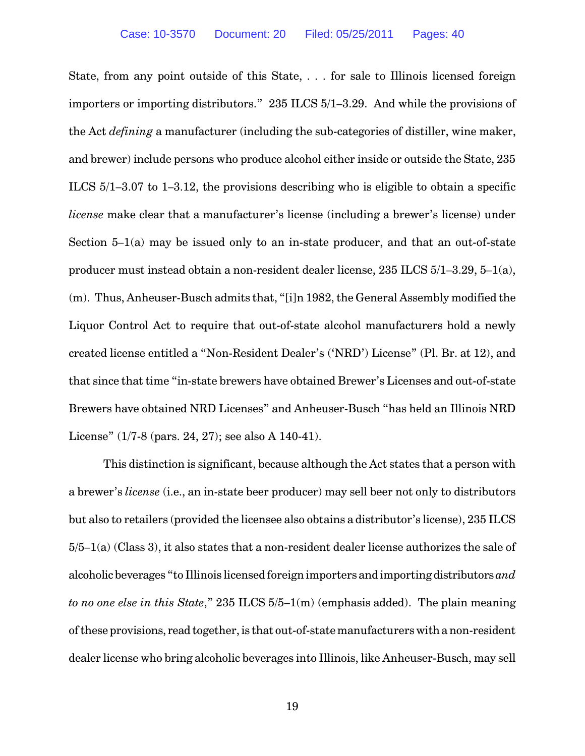State, from any point outside of this State, . . . for sale to Illinois licensed foreign importers or importing distributors." 235 ILCS 5/1–3.29. And while the provisions of the Act *defining* a manufacturer (including the sub-categories of distiller, wine maker, and brewer) include persons who produce alcohol either inside or outside the State, 235 ILCS 5/1–3.07 to 1–3.12, the provisions describing who is eligible to obtain a specific *license* make clear that a manufacturer's license (including a brewer's license) under Section 5–1(a) may be issued only to an in-state producer, and that an out-of-state producer must instead obtain a non-resident dealer license, 235 ILCS 5/1–3.29, 5–1(a), (m). Thus, Anheuser-Busch admits that, "[i]n 1982, the General Assembly modified the Liquor Control Act to require that out-of-state alcohol manufacturers hold a newly created license entitled a "Non-Resident Dealer's ('NRD') License" (Pl. Br. at 12), and that since that time "in-state brewers have obtained Brewer's Licenses and out-of-state Brewers have obtained NRD Licenses" and Anheuser-Busch "has held an Illinois NRD License" (1/7-8 (pars. 24, 27); see also A 140-41).

This distinction is significant, because although the Act states that a person with a brewer's *license* (i.e., an in-state beer producer) may sell beer not only to distributors but also to retailers (provided the licensee also obtains a distributor's license), 235 ILCS 5/5–1(a) (Class 3), it also states that a non-resident dealer license authorizes the sale of alcoholic beverages "to Illinois licensed foreign importers and importing distributors *and to no one else in this State*," 235 ILCS 5/5–1(m) (emphasis added). The plain meaning of these provisions, read together, is that out-of-state manufacturers with a non-resident dealer license who bring alcoholic beverages into Illinois, like Anheuser-Busch, may sell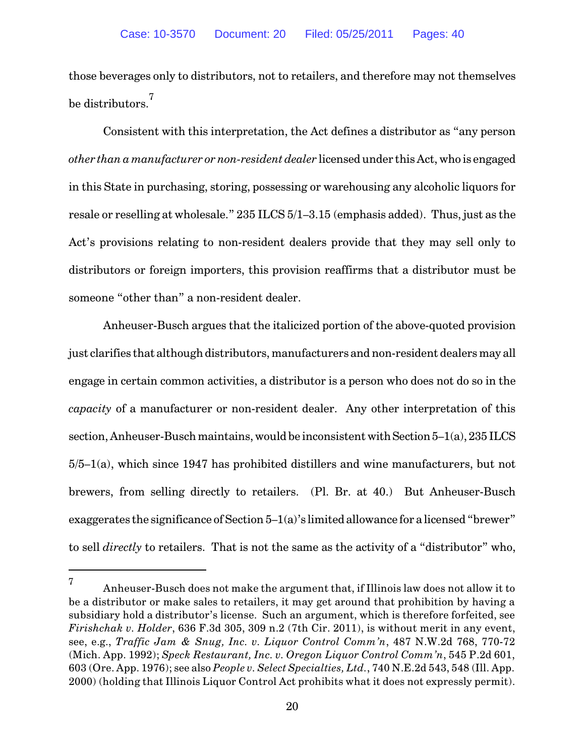those beverages only to distributors, not to retailers, and therefore may not themselves be distributors.<sup>7</sup>

Consistent with this interpretation, the Act defines a distributor as "any person *other than a manufacturer or non-resident dealer* licensed under this Act, who is engaged in this State in purchasing, storing, possessing or warehousing any alcoholic liquors for resale or reselling at wholesale." 235 ILCS 5/1–3.15 (emphasis added). Thus, just as the Act's provisions relating to non-resident dealers provide that they may sell only to distributors or foreign importers, this provision reaffirms that a distributor must be someone "other than" a non-resident dealer.

Anheuser-Busch argues that the italicized portion of the above-quoted provision just clarifies that although distributors, manufacturers and non-resident dealers may all engage in certain common activities, a distributor is a person who does not do so in the *capacity* of a manufacturer or non-resident dealer. Any other interpretation of this section, Anheuser-Busch maintains, would be inconsistent with Section  $5-1(a)$ ,  $235$  ILCS 5/5–1(a), which since 1947 has prohibited distillers and wine manufacturers, but not brewers, from selling directly to retailers. (Pl. Br. at 40.) But Anheuser-Busch exaggerates the significance of Section 5–1(a)'s limited allowance for a licensed "brewer" to sell *directly* to retailers. That is not the same as the activity of a "distributor" who,

Anheuser-Busch does not make the argument that, if Illinois law does not allow it to 7 be a distributor or make sales to retailers, it may get around that prohibition by having a subsidiary hold a distributor's license. Such an argument, which is therefore forfeited, see *Firishchak v. Holder*, 636 F.3d 305, 309 n.2 (7th Cir. 2011), is without merit in any event, see, e.g., *Traffic Jam & Snug, Inc. v. Liquor Control Comm'n*, 487 N.W.2d 768, 770-72 (Mich. App. 1992); *Speck Restaurant, Inc. v. Oregon Liquor Control Comm'n*, 545 P.2d 601, 603 (Ore. App. 1976); see also *People v. Select Specialties, Ltd.*, 740 N.E.2d 543, 548 (Ill. App. 2000) (holding that Illinois Liquor Control Act prohibits what it does not expressly permit).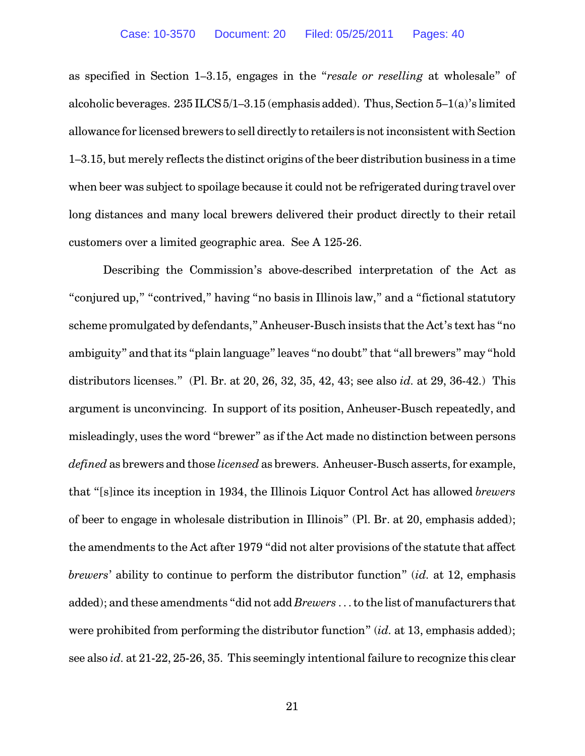as specified in Section 1–3.15, engages in the "*resale or reselling* at wholesale" of alcoholic beverages.  $235$  ILCS  $5/1-3.15$  (emphasis added). Thus, Section  $5-1(a)$ 's limited allowance for licensed brewers to sell directly to retailers is not inconsistent with Section 1–3.15, but merely reflects the distinct origins of the beer distribution business in a time when beer was subject to spoilage because it could not be refrigerated during travel over long distances and many local brewers delivered their product directly to their retail customers over a limited geographic area. See A 125-26.

Describing the Commission's above-described interpretation of the Act as "conjured up," "contrived," having "no basis in Illinois law," and a "fictional statutory scheme promulgated by defendants," Anheuser-Busch insists that the Act's text has "no ambiguity" and that its "plain language" leaves "no doubt" that "all brewers" may "hold distributors licenses." (Pl. Br. at 20, 26, 32, 35, 42, 43; see also *id.* at 29, 36-42.) This argument is unconvincing. In support of its position, Anheuser-Busch repeatedly, and misleadingly, uses the word "brewer" as if the Act made no distinction between persons *defined* as brewers and those *licensed* as brewers. Anheuser-Busch asserts, for example, that "[s]ince its inception in 1934, the Illinois Liquor Control Act has allowed *brewers* of beer to engage in wholesale distribution in Illinois" (Pl. Br. at 20, emphasis added); the amendments to the Act after 1979 "did not alter provisions of the statute that affect *brewers*' ability to continue to perform the distributor function" (*id.* at 12, emphasis added); and these amendments "did not add *Brewers* . . . to the list of manufacturers that were prohibited from performing the distributor function" (*id.* at 13, emphasis added); see also *id.* at 21-22, 25-26, 35. This seemingly intentional failure to recognize this clear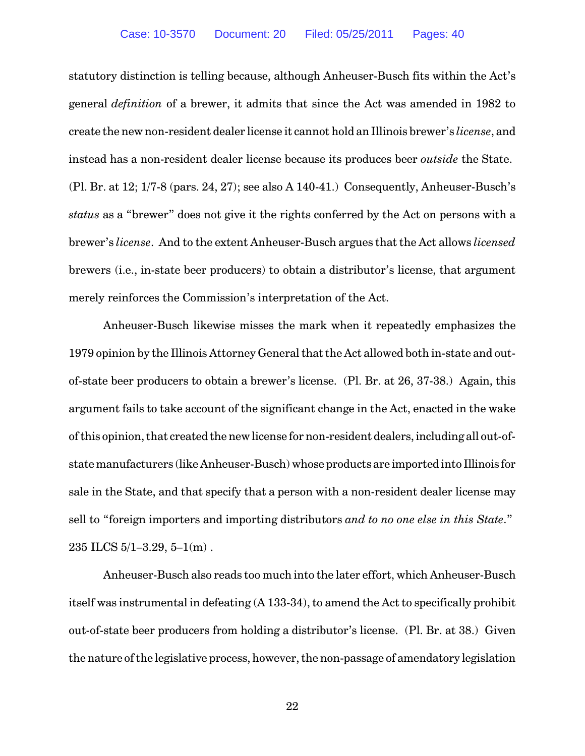statutory distinction is telling because, although Anheuser-Busch fits within the Act's general *definition* of a brewer, it admits that since the Act was amended in 1982 to create the new non-resident dealer license it cannot hold an Illinois brewer's *license*, and instead has a non-resident dealer license because its produces beer *outside* the State. (Pl. Br. at 12; 1/7-8 (pars. 24, 27); see also A 140-41.) Consequently, Anheuser-Busch's *status* as a "brewer" does not give it the rights conferred by the Act on persons with a brewer's *license*. And to the extent Anheuser-Busch argues that the Act allows *licensed* brewers (i.e., in-state beer producers) to obtain a distributor's license, that argument merely reinforces the Commission's interpretation of the Act.

Anheuser-Busch likewise misses the mark when it repeatedly emphasizes the 1979 opinion by the Illinois Attorney General that the Act allowed both in-state and outof-state beer producers to obtain a brewer's license. (Pl. Br. at 26, 37-38.) Again, this argument fails to take account of the significant change in the Act, enacted in the wake of this opinion, that created the new license for non-resident dealers, including all out-ofstate manufacturers (like Anheuser-Busch) whose products are imported into Illinois for sale in the State, and that specify that a person with a non-resident dealer license may sell to "foreign importers and importing distributors *and to no one else in this State*." 235 ILCS 5/1–3.29, 5–1(m) .

Anheuser-Busch also reads too much into the later effort, which Anheuser-Busch itself was instrumental in defeating (A 133-34), to amend the Act to specifically prohibit out-of-state beer producers from holding a distributor's license. (Pl. Br. at 38.) Given the nature of the legislative process, however, the non-passage of amendatory legislation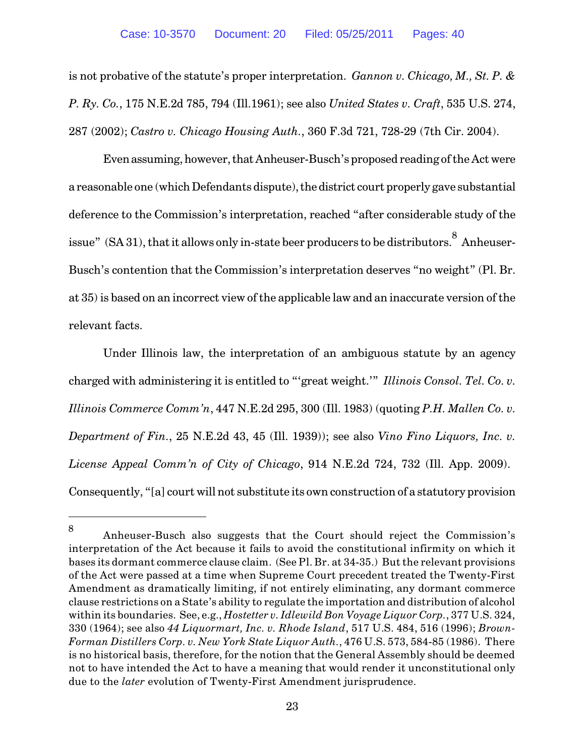is not probative of the statute's proper interpretation. *Gannon v. Chicago, M., St. P. & P. Ry. Co.*, 175 N.E.2d 785, 794 (Ill.1961); see also *United States v. Craft*, 535 U.S. 274, 287 (2002); *Castro v. Chicago Housing Auth.*, 360 F.3d 721, 728-29 (7th Cir. 2004).

Even assuming, however, that Anheuser-Busch's proposed reading of the Act were a reasonable one (which Defendants dispute), the district court properly gave substantial deference to the Commission's interpretation, reached "after considerable study of the issue" (SA 31), that it allows only in-state beer producers to be distributors.  $8$  Anheuser-Busch's contention that the Commission's interpretation deserves "no weight" (Pl. Br. at 35) is based on an incorrect view of the applicable law and an inaccurate version of the relevant facts.

Under Illinois law, the interpretation of an ambiguous statute by an agency charged with administering it is entitled to "'great weight.'" *Illinois Consol. Tel. Co. v. Illinois Commerce Comm'n*, 447 N.E.2d 295, 300 (Ill. 1983) (quoting *P.H. Mallen Co. v. Department of Fin.*, 25 N.E.2d 43, 45 (Ill. 1939)); see also *Vino Fino Liquors, Inc. v. License Appeal Comm'n of City of Chicago*, 914 N.E.2d 724, 732 (Ill. App. 2009). Consequently, "[a] court will not substitute its own construction of a statutory provision

Anheuser-Busch also suggests that the Court should reject the Commission's 8 interpretation of the Act because it fails to avoid the constitutional infirmity on which it bases its dormant commerce clause claim. (See Pl. Br. at 34-35.) But the relevant provisions of the Act were passed at a time when Supreme Court precedent treated the Twenty-First Amendment as dramatically limiting, if not entirely eliminating, any dormant commerce clause restrictions on a State's ability to regulate the importation and distribution of alcohol within its boundaries. See, e.g., *Hostetter v. Idlewild Bon Voyage Liquor Corp.*, 377 U.S. 324, 330 (1964); see also *44 Liquormart, Inc. v. Rhode Island*, 517 U.S. 484, 516 (1996); *Brown-Forman Distillers Corp. v. New York State Liquor Auth.*, 476 U.S. 573, 584-85 (1986). There is no historical basis, therefore, for the notion that the General Assembly should be deemed not to have intended the Act to have a meaning that would render it unconstitutional only due to the *later* evolution of Twenty-First Amendment jurisprudence.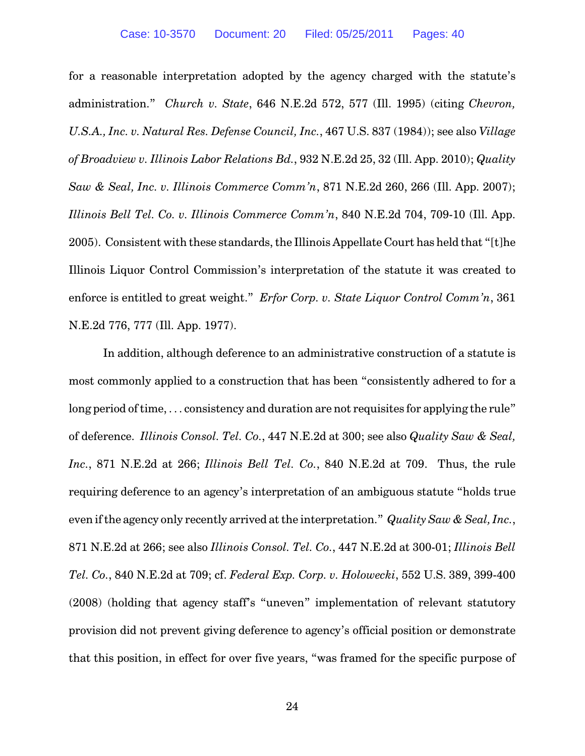for a reasonable interpretation adopted by the agency charged with the statute's administration." *Church v. State*, 646 N.E.2d 572, 577 (Ill. 1995) (citing *Chevron, U.S.A., Inc. v. Natural Res. Defense Council, Inc.*, 467 U.S. 837 (1984)); see also *Village of Broadview v. Illinois Labor Relations Bd.*, 932 N.E.2d 25, 32 (Ill. App. 2010); *Quality Saw & Seal, Inc. v. Illinois Commerce Comm'n*, 871 N.E.2d 260, 266 (Ill. App. 2007); *Illinois Bell Tel. Co. v. Illinois Commerce Comm'n*, 840 N.E.2d 704, 709-10 (Ill. App. 2005). Consistent with these standards, the Illinois Appellate Court has held that "[t]he Illinois Liquor Control Commission's interpretation of the statute it was created to enforce is entitled to great weight." *Erfor Corp. v. State Liquor Control Comm'n*, 361 N.E.2d 776, 777 (Ill. App. 1977).

In addition, although deference to an administrative construction of a statute is most commonly applied to a construction that has been "consistently adhered to for a long period of time, ... consistency and duration are not requisites for applying the rule" of deference. *Illinois Consol. Tel. Co.*, 447 N.E.2d at 300; see also *Quality Saw & Seal, Inc.*, 871 N.E.2d at 266; *Illinois Bell Tel. Co.*, 840 N.E.2d at 709. Thus, the rule requiring deference to an agency's interpretation of an ambiguous statute "holds true even if the agency only recently arrived at the interpretation." *Quality Saw & Seal, Inc.*, 871 N.E.2d at 266; see also *Illinois Consol. Tel. Co.*, 447 N.E.2d at 300-01; *Illinois Bell Tel. Co.*, 840 N.E.2d at 709; cf. *Federal Exp. Corp. v. Holowecki*, 552 U.S. 389, 399-400 (2008) (holding that agency staff's "uneven" implementation of relevant statutory provision did not prevent giving deference to agency's official position or demonstrate that this position, in effect for over five years, "was framed for the specific purpose of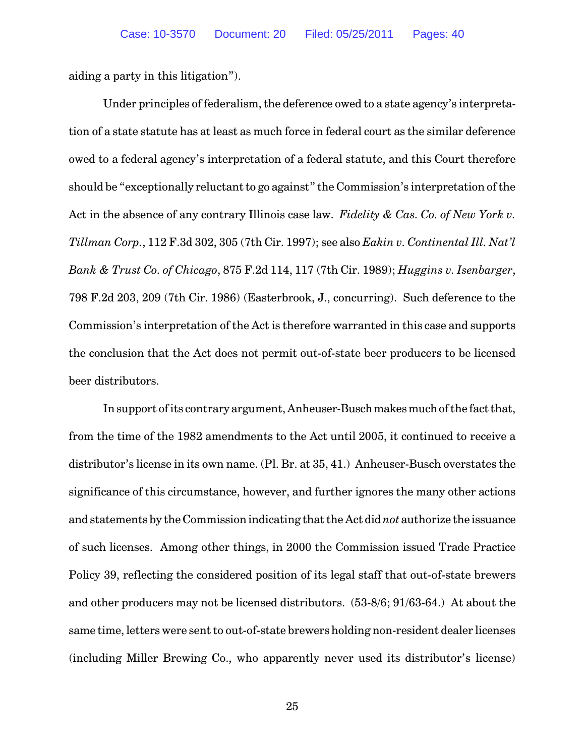aiding a party in this litigation").

Under principles of federalism, the deference owed to a state agency's interpretation of a state statute has at least as much force in federal court as the similar deference owed to a federal agency's interpretation of a federal statute, and this Court therefore should be "exceptionally reluctant to go against" the Commission's interpretation of the Act in the absence of any contrary Illinois case law. *Fidelity & Cas. Co. of New York v. Tillman Corp.*, 112 F.3d 302, 305 (7th Cir. 1997); see also *Eakin v. Continental Ill. Nat'l Bank & Trust Co. of Chicago*, 875 F.2d 114, 117 (7th Cir. 1989); *Huggins v. Isenbarger*, 798 F.2d 203, 209 (7th Cir. 1986) (Easterbrook, J., concurring). Such deference to the Commission's interpretation of the Act is therefore warranted in this case and supports the conclusion that the Act does not permit out-of-state beer producers to be licensed beer distributors.

In support of its contrary argument, Anheuser-Busch makes much of the fact that, from the time of the 1982 amendments to the Act until 2005, it continued to receive a distributor's license in its own name. (Pl. Br. at 35, 41.) Anheuser-Busch overstates the significance of this circumstance, however, and further ignores the many other actions and statements by the Commission indicating that the Act did *not* authorize the issuance of such licenses. Among other things, in 2000 the Commission issued Trade Practice Policy 39, reflecting the considered position of its legal staff that out-of-state brewers and other producers may not be licensed distributors. (53-8/6; 91/63-64.) At about the same time, letters were sent to out-of-state brewers holding non-resident dealer licenses (including Miller Brewing Co., who apparently never used its distributor's license)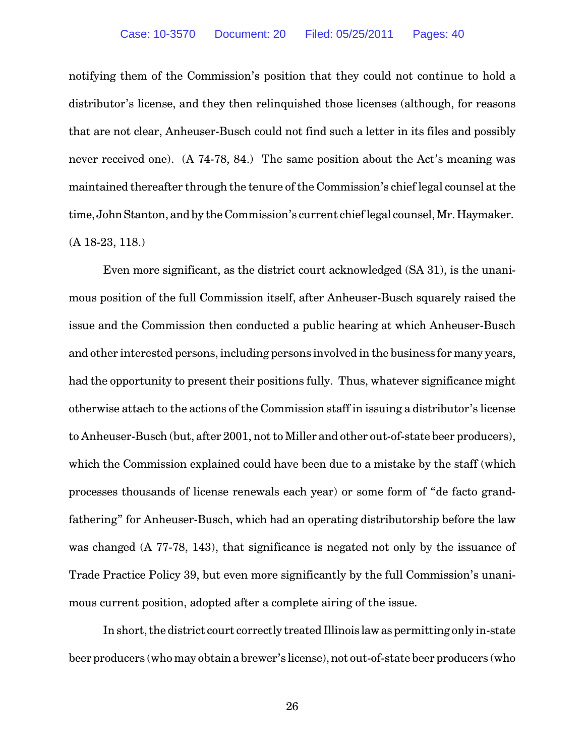notifying them of the Commission's position that they could not continue to hold a distributor's license, and they then relinquished those licenses (although, for reasons that are not clear, Anheuser-Busch could not find such a letter in its files and possibly never received one). (A 74-78, 84.) The same position about the Act's meaning was maintained thereafter through the tenure of the Commission's chief legal counsel at the time, JohnStanton, and by the Commission's current chief legal counsel, Mr. Haymaker. (A 18-23, 118.)

Even more significant, as the district court acknowledged (SA 31), is the unanimous position of the full Commission itself, after Anheuser-Busch squarely raised the issue and the Commission then conducted a public hearing at which Anheuser-Busch and other interested persons, including persons involved in the business for many years, had the opportunity to present their positions fully. Thus, whatever significance might otherwise attach to the actions of the Commission staff in issuing a distributor's license to Anheuser-Busch (but, after 2001, not to Miller and other out-of-state beer producers), which the Commission explained could have been due to a mistake by the staff (which processes thousands of license renewals each year) or some form of "de facto grandfathering" for Anheuser-Busch, which had an operating distributorship before the law was changed (A 77-78, 143), that significance is negated not only by the issuance of Trade Practice Policy 39, but even more significantly by the full Commission's unanimous current position, adopted after a complete airing of the issue.

In short, the district court correctly treated Illinois law as permitting only in-state beer producers (who may obtain a brewer's license), not out-of-state beer producers (who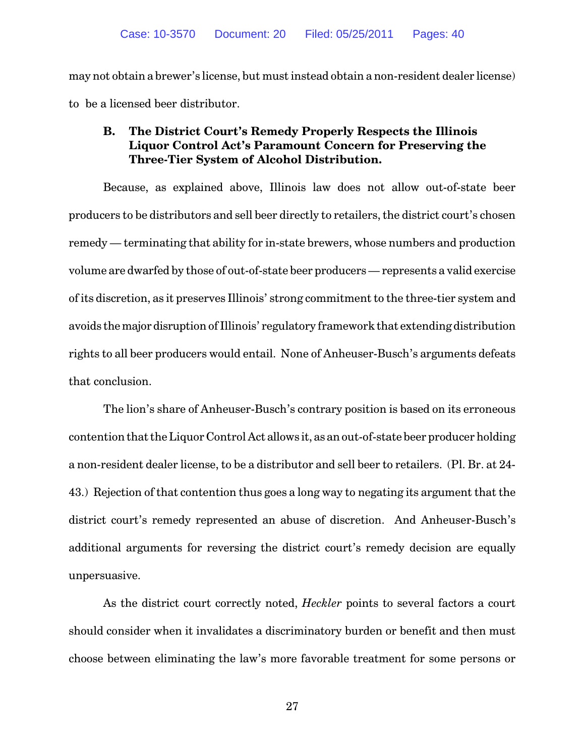may not obtain a brewer's license, but must instead obtain a non-resident dealer license) to be a licensed beer distributor.

# **B. The District Court's Remedy Properly Respects the Illinois Liquor Control Act's Paramount Concern for Preserving the Three-Tier System of Alcohol Distribution.**

Because, as explained above, Illinois law does not allow out-of-state beer producers to be distributors and sell beer directly to retailers, the district court's chosen remedy — terminating that ability for in-state brewers, whose numbers and production volume are dwarfed by those of out-of-state beer producers — represents a valid exercise of its discretion, as it preserves Illinois' strong commitment to the three-tier system and avoids the major disruption of Illinois' regulatory framework that extending distribution rights to all beer producers would entail. None of Anheuser-Busch's arguments defeats that conclusion.

The lion's share of Anheuser-Busch's contrary position is based on its erroneous contention that the Liquor Control Act allows it, as an out-of-state beer producer holding a non-resident dealer license, to be a distributor and sell beer to retailers. (Pl. Br. at 24- 43.) Rejection of that contention thus goes a long way to negating its argument that the district court's remedy represented an abuse of discretion. And Anheuser-Busch's additional arguments for reversing the district court's remedy decision are equally unpersuasive.

As the district court correctly noted, *Heckler* points to several factors a court should consider when it invalidates a discriminatory burden or benefit and then must choose between eliminating the law's more favorable treatment for some persons or

27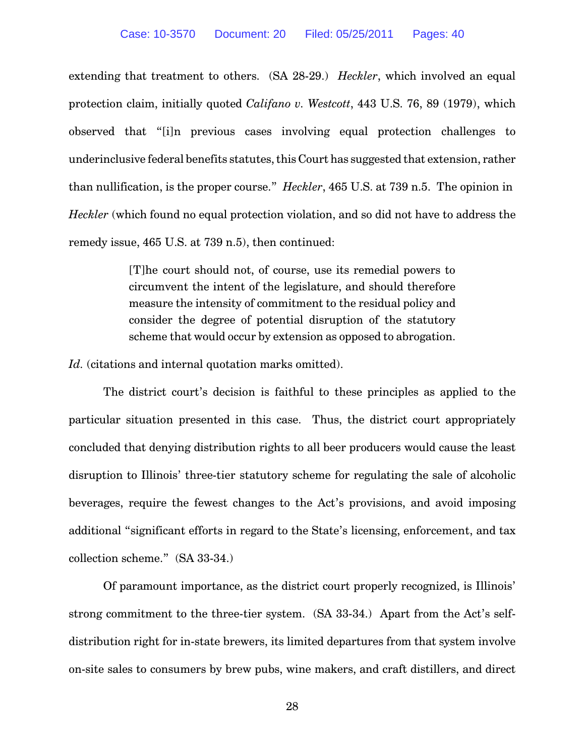extending that treatment to others. (SA 28-29.) *Heckler*, which involved an equal protection claim, initially quoted *Califano v. Westcott*, 443 U.S. 76, 89 (1979), which observed that "[i]n previous cases involving equal protection challenges to underinclusive federal benefits statutes, this Court has suggested that extension, rather than nullification, is the proper course." *Heckler*, 465 U.S. at 739 n.5. The opinion in *Heckler* (which found no equal protection violation, and so did not have to address the remedy issue, 465 U.S. at 739 n.5), then continued:

> [T]he court should not, of course, use its remedial powers to circumvent the intent of the legislature, and should therefore measure the intensity of commitment to the residual policy and consider the degree of potential disruption of the statutory scheme that would occur by extension as opposed to abrogation.

Id. (citations and internal quotation marks omitted).

The district court's decision is faithful to these principles as applied to the particular situation presented in this case. Thus, the district court appropriately concluded that denying distribution rights to all beer producers would cause the least disruption to Illinois' three-tier statutory scheme for regulating the sale of alcoholic beverages, require the fewest changes to the Act's provisions, and avoid imposing additional "significant efforts in regard to the State's licensing, enforcement, and tax collection scheme." (SA 33-34.)

Of paramount importance, as the district court properly recognized, is Illinois' strong commitment to the three-tier system. (SA 33-34.) Apart from the Act's selfdistribution right for in-state brewers, its limited departures from that system involve on-site sales to consumers by brew pubs, wine makers, and craft distillers, and direct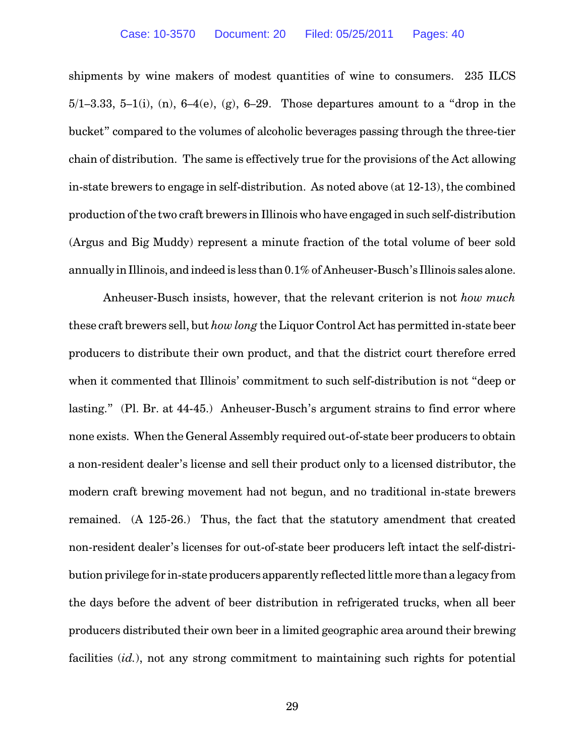shipments by wine makers of modest quantities of wine to consumers. 235 ILCS 5/1–3.33, 5–1(i), (n),  $6-4(e)$ , (g),  $6-29$ . Those departures amount to a "drop in the bucket" compared to the volumes of alcoholic beverages passing through the three-tier chain of distribution. The same is effectively true for the provisions of the Act allowing in-state brewers to engage in self-distribution. As noted above (at 12-13), the combined production of the two craft brewers in Illinois who have engaged in such self-distribution (Argus and Big Muddy) represent a minute fraction of the total volume of beer sold annually in Illinois, and indeed is less than 0.1% of Anheuser-Busch's Illinois sales alone.

Anheuser-Busch insists, however, that the relevant criterion is not *how much* these craft brewers sell, but *how long* the Liquor Control Act has permitted in-state beer producers to distribute their own product, and that the district court therefore erred when it commented that Illinois' commitment to such self-distribution is not "deep or lasting." (Pl. Br. at 44-45.) Anheuser-Busch's argument strains to find error where none exists. When the General Assembly required out-of-state beer producers to obtain a non-resident dealer's license and sell their product only to a licensed distributor, the modern craft brewing movement had not begun, and no traditional in-state brewers remained. (A 125-26.) Thus, the fact that the statutory amendment that created non-resident dealer's licenses for out-of-state beer producers left intact the self-distribution privilege for in-state producers apparently reflected little more than a legacy from the days before the advent of beer distribution in refrigerated trucks, when all beer producers distributed their own beer in a limited geographic area around their brewing facilities (*id.*), not any strong commitment to maintaining such rights for potential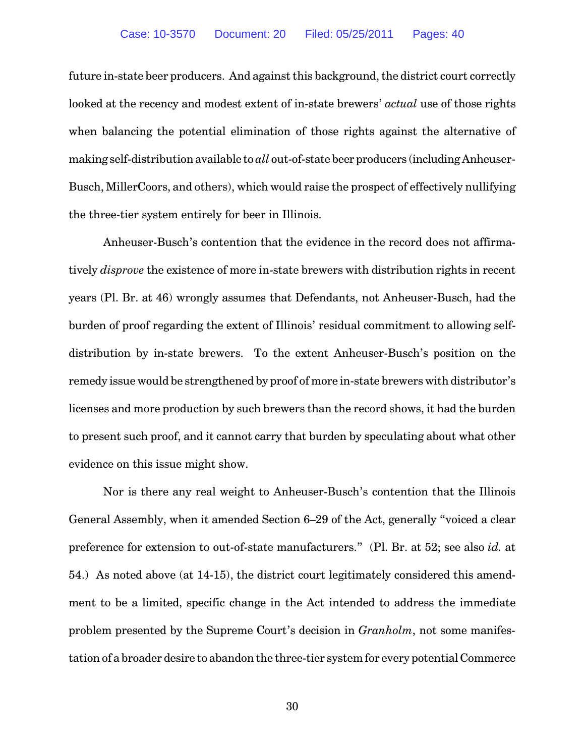future in-state beer producers. And against this background, the district court correctly looked at the recency and modest extent of in-state brewers' *actual* use of those rights when balancing the potential elimination of those rights against the alternative of making self-distribution available to *all* out-of-state beer producers (including Anheuser-Busch, MillerCoors, and others), which would raise the prospect of effectively nullifying the three-tier system entirely for beer in Illinois.

Anheuser-Busch's contention that the evidence in the record does not affirmatively *disprove* the existence of more in-state brewers with distribution rights in recent years (Pl. Br. at 46) wrongly assumes that Defendants, not Anheuser-Busch, had the burden of proof regarding the extent of Illinois' residual commitment to allowing selfdistribution by in-state brewers. To the extent Anheuser-Busch's position on the remedy issue would be strengthened by proof of more in-state brewers with distributor's licenses and more production by such brewers than the record shows, it had the burden to present such proof, and it cannot carry that burden by speculating about what other evidence on this issue might show.

Nor is there any real weight to Anheuser-Busch's contention that the Illinois General Assembly, when it amended Section 6–29 of the Act, generally "voiced a clear preference for extension to out-of-state manufacturers." (Pl. Br. at 52; see also *id.* at 54.) As noted above (at 14-15), the district court legitimately considered this amendment to be a limited, specific change in the Act intended to address the immediate problem presented by the Supreme Court's decision in *Granholm*, not some manifestation of a broader desire to abandon the three-tier system for every potential Commerce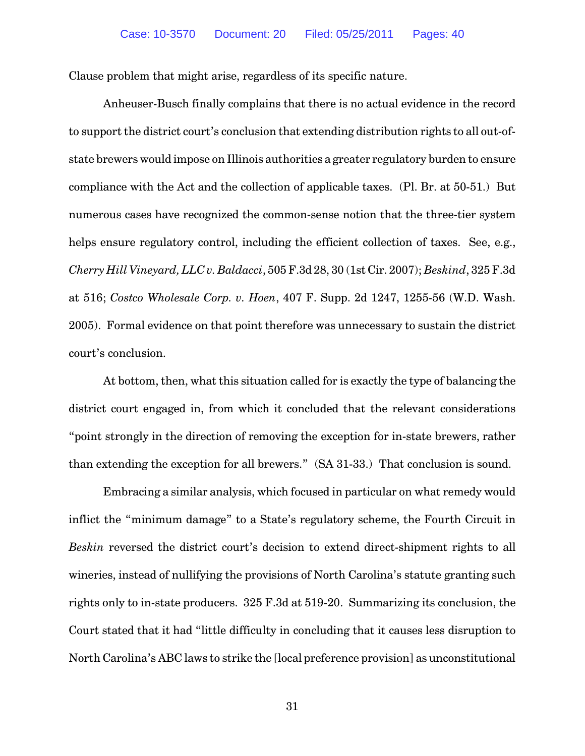Clause problem that might arise, regardless of its specific nature.

Anheuser-Busch finally complains that there is no actual evidence in the record to support the district court's conclusion that extending distribution rights to all out-ofstate brewers would impose on Illinois authorities a greater regulatory burden to ensure compliance with the Act and the collection of applicable taxes. (Pl. Br. at 50-51.) But numerous cases have recognized the common-sense notion that the three-tier system helps ensure regulatory control, including the efficient collection of taxes. See, e.g., *Cherry Hill Vineyard,LLC v. Baldacci*, 505 F.3d 28, 30 (1st Cir. 2007); *Beskind*, 325 F.3d at 516; *Costco Wholesale Corp. v. Hoen*, 407 F. Supp. 2d 1247, 1255-56 (W.D. Wash. 2005). Formal evidence on that point therefore was unnecessary to sustain the district court's conclusion.

At bottom, then, what this situation called for is exactly the type of balancing the district court engaged in, from which it concluded that the relevant considerations "point strongly in the direction of removing the exception for in-state brewers, rather than extending the exception for all brewers." (SA 31-33.) That conclusion is sound.

Embracing a similar analysis, which focused in particular on what remedy would inflict the "minimum damage" to a State's regulatory scheme, the Fourth Circuit in *Beskin* reversed the district court's decision to extend direct-shipment rights to all wineries, instead of nullifying the provisions of North Carolina's statute granting such rights only to in-state producers. 325 F.3d at 519-20. Summarizing its conclusion, the Court stated that it had "little difficulty in concluding that it causes less disruption to North Carolina's ABC laws to strike the [local preference provision] as unconstitutional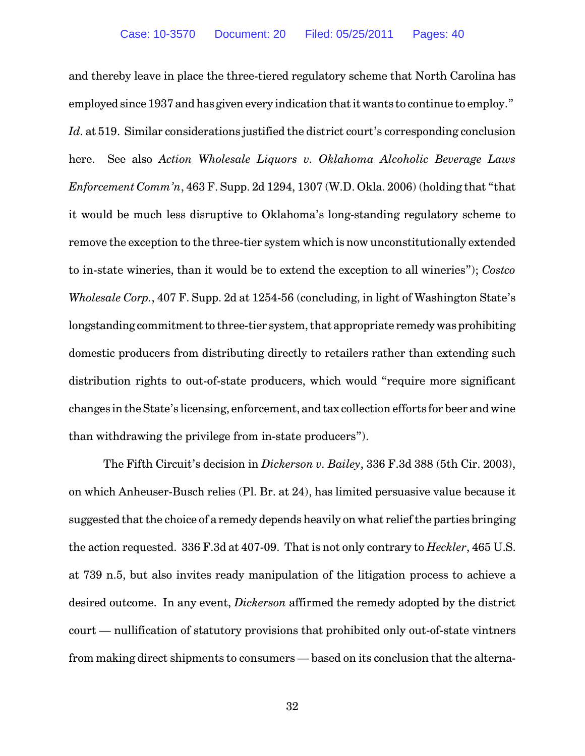and thereby leave in place the three-tiered regulatory scheme that North Carolina has employed since 1937 and has given every indication that it wants to continue to employ." *Id.* at 519. Similar considerations justified the district court's corresponding conclusion here. See also *Action Wholesale Liquors v. Oklahoma Alcoholic Beverage Laws Enforcement Comm'n*, 463 F. Supp. 2d 1294, 1307 (W.D. Okla. 2006) (holding that "that it would be much less disruptive to Oklahoma's long-standing regulatory scheme to remove the exception to the three-tier system which is now unconstitutionally extended to in-state wineries, than it would be to extend the exception to all wineries"); *Costco Wholesale Corp.*, 407 F. Supp. 2d at 1254-56 (concluding, in light of Washington State's longstanding commitment to three-tier system, that appropriate remedy was prohibiting domestic producers from distributing directly to retailers rather than extending such distribution rights to out-of-state producers, which would "require more significant changes in the State's licensing, enforcement, and tax collection efforts for beer and wine than withdrawing the privilege from in-state producers").

The Fifth Circuit's decision in *Dickerson v. Bailey*, 336 F.3d 388 (5th Cir. 2003), on which Anheuser-Busch relies (Pl. Br. at 24), has limited persuasive value because it suggested that the choice of a remedy depends heavily on what relief the parties bringing the action requested. 336 F.3d at 407-09. That is not only contrary to *Heckler*, 465 U.S. at 739 n.5, but also invites ready manipulation of the litigation process to achieve a desired outcome. In any event, *Dickerson* affirmed the remedy adopted by the district court — nullification of statutory provisions that prohibited only out-of-state vintners from making direct shipments to consumers — based on its conclusion that the alterna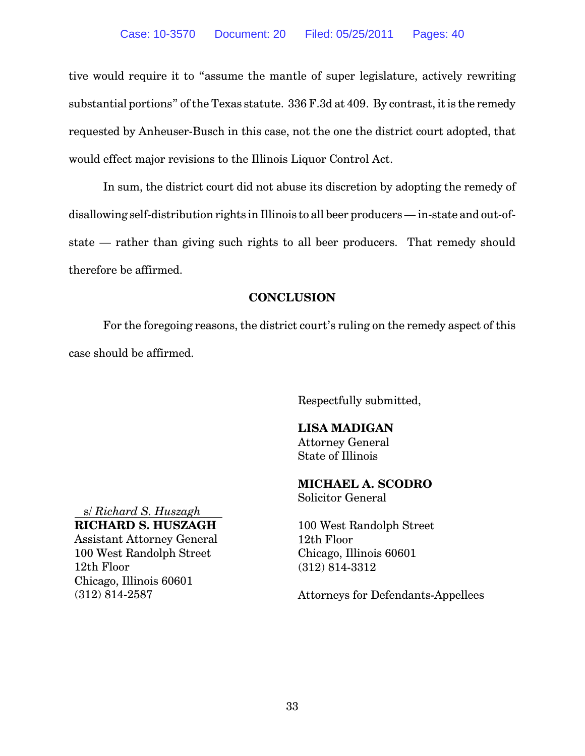tive would require it to "assume the mantle of super legislature, actively rewriting substantial portions" of the Texas statute. 336 F.3d at 409. By contrast, it is the remedy requested by Anheuser-Busch in this case, not the one the district court adopted, that would effect major revisions to the Illinois Liquor Control Act.

In sum, the district court did not abuse its discretion by adopting the remedy of disallowing self-distribution rights in Illinois to all beer producers — in-state and out-ofstate — rather than giving such rights to all beer producers. That remedy should therefore be affirmed.

### **CONCLUSION**

For the foregoing reasons, the district court's ruling on the remedy aspect of this case should be affirmed.

Respectfully submitted,

### **LISA MADIGAN**

Attorney General State of Illinois

#### **MICHAEL A. SCODRO** Solicitor General

100 West Randolph Street 12th Floor Chicago, Illinois 60601 (312) 814-3312

Attorneys for Defendants-Appellees

s/ *Richard S. Huszagh*

#### **RICHARD S. HUSZAGH**

Assistant Attorney General 100 West Randolph Street 12th Floor Chicago, Illinois 60601 (312) 814-2587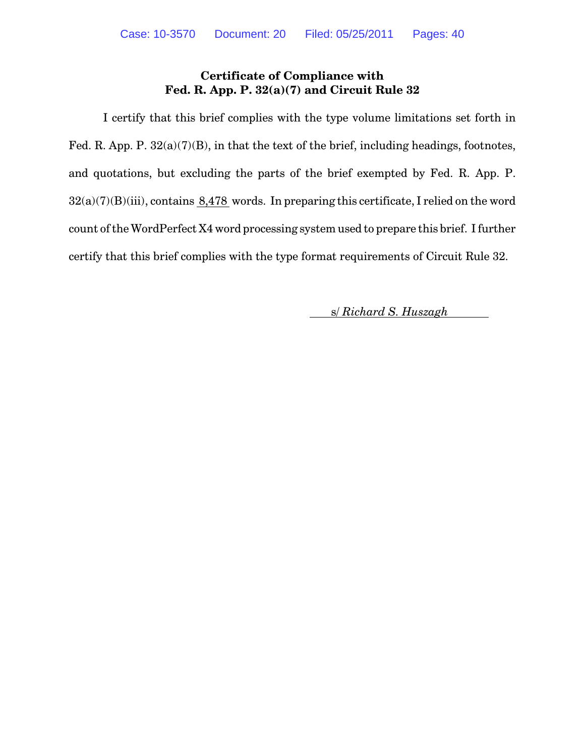# **Certificate of Compliance with Fed. R. App. P. 32(a)(7) and Circuit Rule 32**

I certify that this brief complies with the type volume limitations set forth in Fed. R. App. P. 32(a)(7)(B), in that the text of the brief, including headings, footnotes, and quotations, but excluding the parts of the brief exempted by Fed. R. App. P.  $32(a)(7)(B)(iii)$ , contains 8,478 words. In preparing this certificate, I relied on the word count of the WordPerfect X4 word processing system used to prepare this brief. I further certify that this brief complies with the type format requirements of Circuit Rule 32.

s/ *Richard S. Huszagh*